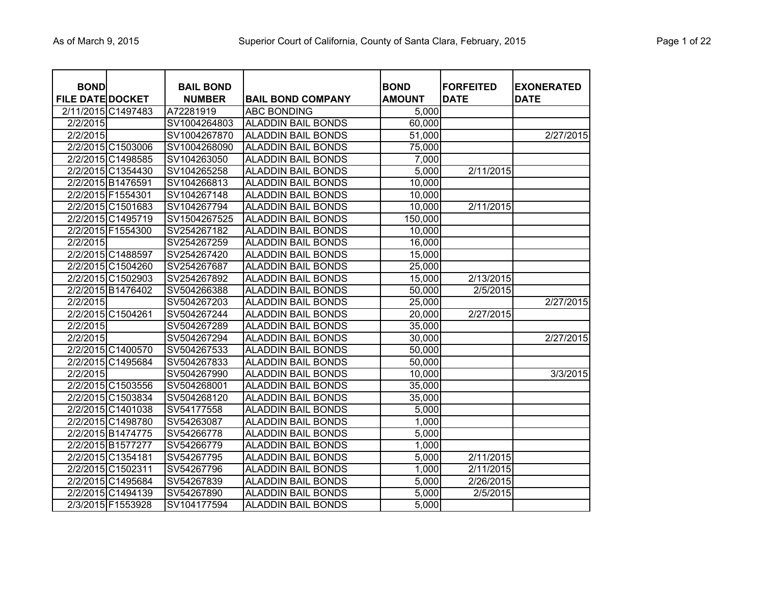| <b>BOND</b><br><b>FILE DATE DOCKET</b> | <b>BAIL BOND</b><br><b>NUMBER</b> | <b>BAIL BOND COMPANY</b>  | <b>BOND</b><br><b>AMOUNT</b> | <b>FORFEITED</b><br><b>DATE</b> | <b>EXONERATED</b><br><b>DATE</b> |
|----------------------------------------|-----------------------------------|---------------------------|------------------------------|---------------------------------|----------------------------------|
| 2/11/2015 C1497483                     | A72281919                         | <b>ABC BONDING</b>        | 5,000                        |                                 |                                  |
| 2/2/2015                               | SV1004264803                      | <b>ALADDIN BAIL BONDS</b> | 60,000                       |                                 |                                  |
| 2/2/2015                               | SV1004267870                      | <b>ALADDIN BAIL BONDS</b> | 51,000                       |                                 | 2/27/2015                        |
| 2/2/2015 C1503006                      | SV1004268090                      | <b>ALADDIN BAIL BONDS</b> | 75,000                       |                                 |                                  |
| 2/2/2015 C1498585                      | SV104263050                       | <b>ALADDIN BAIL BONDS</b> | 7,000                        |                                 |                                  |
| 2/2/2015 C1354430                      | SV104265258                       | <b>ALADDIN BAIL BONDS</b> | 5,000                        | 2/11/2015                       |                                  |
| 2/2/2015 B1476591                      | SV104266813                       | <b>ALADDIN BAIL BONDS</b> | 10,000                       |                                 |                                  |
| 2/2/2015 F1554301                      | SV104267148                       | <b>ALADDIN BAIL BONDS</b> | 10,000                       |                                 |                                  |
| 2/2/2015 C1501683                      | SV104267794                       | <b>ALADDIN BAIL BONDS</b> | 10,000                       | 2/11/2015                       |                                  |
| 2/2/2015 C1495719                      | SV1504267525                      | <b>ALADDIN BAIL BONDS</b> | 150,000                      |                                 |                                  |
| 2/2/2015 F1554300                      | SV254267182                       | <b>ALADDIN BAIL BONDS</b> | 10,000                       |                                 |                                  |
| 2/2/2015                               | SV254267259                       | <b>ALADDIN BAIL BONDS</b> | 16,000                       |                                 |                                  |
| 2/2/2015 C1488597                      | SV254267420                       | <b>ALADDIN BAIL BONDS</b> | 15,000                       |                                 |                                  |
| 2/2/2015 C1504260                      | SV254267687                       | <b>ALADDIN BAIL BONDS</b> | 25,000                       |                                 |                                  |
| 2/2/2015 C1502903                      | SV254267892                       | <b>ALADDIN BAIL BONDS</b> | 15,000                       | 2/13/2015                       |                                  |
| 2/2/2015 B1476402                      | SV504266388                       | <b>ALADDIN BAIL BONDS</b> | 50,000                       | 2/5/2015                        |                                  |
| 2/2/2015                               | SV504267203                       | <b>ALADDIN BAIL BONDS</b> | 25,000                       |                                 | 2/27/2015                        |
| 2/2/2015 C1504261                      | SV504267244                       | <b>ALADDIN BAIL BONDS</b> | 20,000                       | 2/27/2015                       |                                  |
| 2/2/2015                               | SV504267289                       | <b>ALADDIN BAIL BONDS</b> | 35,000                       |                                 |                                  |
| 2/2/2015                               | SV504267294                       | <b>ALADDIN BAIL BONDS</b> | 30,000                       |                                 | 2/27/2015                        |
| 2/2/2015 C1400570                      | SV504267533                       | <b>ALADDIN BAIL BONDS</b> | 50,000                       |                                 |                                  |
| 2/2/2015 C1495684                      | SV504267833                       | <b>ALADDIN BAIL BONDS</b> | 50,000                       |                                 |                                  |
| 2/2/2015                               | SV504267990                       | <b>ALADDIN BAIL BONDS</b> | 10,000                       |                                 | 3/3/2015                         |
| 2/2/2015 C1503556                      | SV504268001                       | <b>ALADDIN BAIL BONDS</b> | 35,000                       |                                 |                                  |
| 2/2/2015 C1503834                      | SV504268120                       | <b>ALADDIN BAIL BONDS</b> | 35,000                       |                                 |                                  |
| 2/2/2015 C1401038                      | SV54177558                        | <b>ALADDIN BAIL BONDS</b> | 5,000                        |                                 |                                  |
| 2/2/2015 C1498780                      | SV54263087                        | <b>ALADDIN BAIL BONDS</b> | 1,000                        |                                 |                                  |
| 2/2/2015 B1474775                      | SV54266778                        | <b>ALADDIN BAIL BONDS</b> | 5,000                        |                                 |                                  |
| 2/2/2015 B1577277                      | SV54266779                        | <b>ALADDIN BAIL BONDS</b> | 1,000                        |                                 |                                  |
| 2/2/2015 C1354181                      | SV54267795                        | <b>ALADDIN BAIL BONDS</b> | 5,000                        | 2/11/2015                       |                                  |
| 2/2/2015 C1502311                      | SV54267796                        | <b>ALADDIN BAIL BONDS</b> | 1,000                        | 2/11/2015                       |                                  |
| 2/2/2015 C1495684                      | SV54267839                        | <b>ALADDIN BAIL BONDS</b> | 5,000                        | 2/26/2015                       |                                  |
| 2/2/2015 C1494139                      | SV54267890                        | <b>ALADDIN BAIL BONDS</b> | 5,000                        | 2/5/2015                        |                                  |
| 2/3/2015 F1553928                      | SV104177594                       | <b>ALADDIN BAIL BONDS</b> | 5,000                        |                                 |                                  |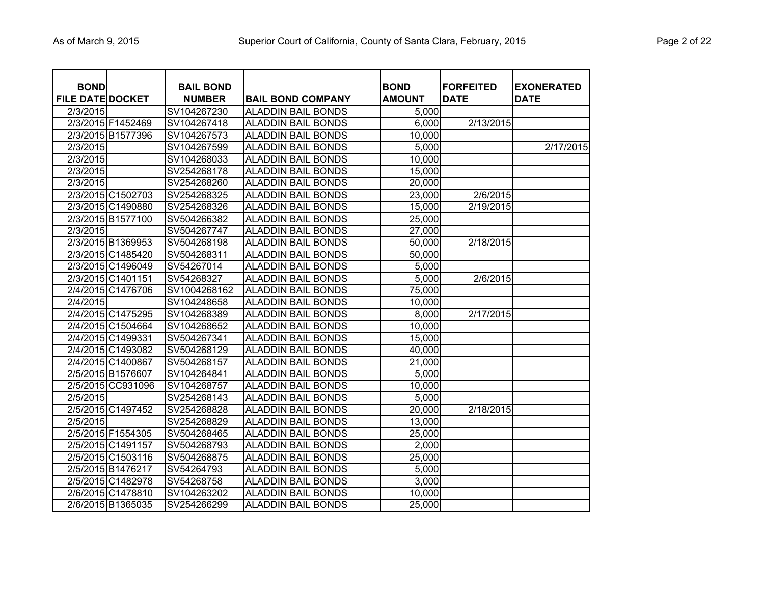| <b>BOND</b><br><b>FILE DATE DOCKET</b> | <b>BAIL BOND</b><br><b>NUMBER</b> | <b>BAIL BOND COMPANY</b>  | <b>BOND</b><br><b>AMOUNT</b> | <b>FORFEITED</b><br><b>DATE</b> | <b>EXONERATED</b><br><b>DATE</b> |
|----------------------------------------|-----------------------------------|---------------------------|------------------------------|---------------------------------|----------------------------------|
| 2/3/2015                               | SV104267230                       | <b>ALADDIN BAIL BONDS</b> | 5,000                        |                                 |                                  |
| 2/3/2015 F1452469                      | SV104267418                       | <b>ALADDIN BAIL BONDS</b> | 6,000                        | 2/13/2015                       |                                  |
| 2/3/2015 B1577396                      | SV104267573                       | <b>ALADDIN BAIL BONDS</b> | 10,000                       |                                 |                                  |
| 2/3/2015                               | SV104267599                       | <b>ALADDIN BAIL BONDS</b> | 5,000                        |                                 | 2/17/2015                        |
| 2/3/2015                               | SV104268033                       | <b>ALADDIN BAIL BONDS</b> | 10,000                       |                                 |                                  |
| 2/3/2015                               | SV254268178                       | <b>ALADDIN BAIL BONDS</b> | 15,000                       |                                 |                                  |
| 2/3/2015                               | SV254268260                       | <b>ALADDIN BAIL BONDS</b> | 20,000                       |                                 |                                  |
| 2/3/2015 C1502703                      | SV254268325                       | <b>ALADDIN BAIL BONDS</b> | 23,000                       | 2/6/2015                        |                                  |
| 2/3/2015 C1490880                      | SV254268326                       | <b>ALADDIN BAIL BONDS</b> | 15,000                       | 2/19/2015                       |                                  |
| 2/3/2015 B1577100                      | SV504266382                       | <b>ALADDIN BAIL BONDS</b> | 25,000                       |                                 |                                  |
| 2/3/2015                               | SV504267747                       | <b>ALADDIN BAIL BONDS</b> | 27,000                       |                                 |                                  |
| 2/3/2015 B1369953                      | SV504268198                       | <b>ALADDIN BAIL BONDS</b> | 50,000                       | 2/18/2015                       |                                  |
| 2/3/2015 C1485420                      | SV504268311                       | <b>ALADDIN BAIL BONDS</b> | 50,000                       |                                 |                                  |
| 2/3/2015 C1496049                      | SV54267014                        | <b>ALADDIN BAIL BONDS</b> | 5,000                        |                                 |                                  |
| 2/3/2015 C1401151                      | SV54268327                        | <b>ALADDIN BAIL BONDS</b> | 5,000                        | 2/6/2015                        |                                  |
| 2/4/2015 C1476706                      | SV1004268162                      | <b>ALADDIN BAIL BONDS</b> | 75,000                       |                                 |                                  |
| 2/4/2015                               | SV104248658                       | <b>ALADDIN BAIL BONDS</b> | 10,000                       |                                 |                                  |
| 2/4/2015 C1475295                      | SV104268389                       | <b>ALADDIN BAIL BONDS</b> | 8,000                        | 2/17/2015                       |                                  |
| 2/4/2015 C1504664                      | SV104268652                       | <b>ALADDIN BAIL BONDS</b> | 10,000                       |                                 |                                  |
| 2/4/2015 C1499331                      | SV504267341                       | <b>ALADDIN BAIL BONDS</b> | 15,000                       |                                 |                                  |
| 2/4/2015 C1493082                      | SV504268129                       | <b>ALADDIN BAIL BONDS</b> | 40,000                       |                                 |                                  |
| 2/4/2015 C1400867                      | SV504268157                       | <b>ALADDIN BAIL BONDS</b> | 21,000                       |                                 |                                  |
| 2/5/2015 B1576607                      | SV104264841                       | <b>ALADDIN BAIL BONDS</b> | 5,000                        |                                 |                                  |
| 2/5/2015 CC931096                      | SV104268757                       | <b>ALADDIN BAIL BONDS</b> | 10,000                       |                                 |                                  |
| 2/5/2015                               | SV254268143                       | <b>ALADDIN BAIL BONDS</b> | 5,000                        |                                 |                                  |
| 2/5/2015 C1497452                      | SV254268828                       | <b>ALADDIN BAIL BONDS</b> | 20,000                       | 2/18/2015                       |                                  |
| 2/5/2015                               | SV254268829                       | <b>ALADDIN BAIL BONDS</b> | 13,000                       |                                 |                                  |
| 2/5/2015 F1554305                      | SV504268465                       | <b>ALADDIN BAIL BONDS</b> | 25,000                       |                                 |                                  |
| 2/5/2015 C1491157                      | SV504268793                       | <b>ALADDIN BAIL BONDS</b> | 2,000                        |                                 |                                  |
| 2/5/2015 C1503116                      | SV504268875                       | <b>ALADDIN BAIL BONDS</b> | 25,000                       |                                 |                                  |
| 2/5/2015 B1476217                      | SV54264793                        | <b>ALADDIN BAIL BONDS</b> | 5,000                        |                                 |                                  |
| 2/5/2015 C1482978                      | SV54268758                        | <b>ALADDIN BAIL BONDS</b> | 3,000                        |                                 |                                  |
| 2/6/2015 C1478810                      | SV104263202                       | <b>ALADDIN BAIL BONDS</b> | 10,000                       |                                 |                                  |
| 2/6/2015 B1365035                      | SV254266299                       | <b>ALADDIN BAIL BONDS</b> | 25,000                       |                                 |                                  |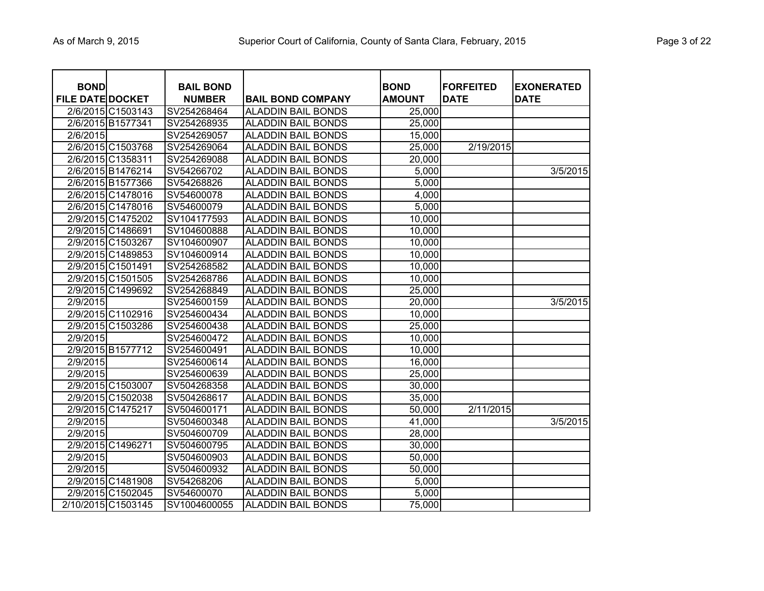|  | Page 3 of 22 |  |  |  |
|--|--------------|--|--|--|
|--|--------------|--|--|--|

| <b>BOND</b><br><b>FILE DATE DOCKET</b> |                    | <b>BAIL BOND</b><br><b>NUMBER</b> | <b>BAIL BOND COMPANY</b>  | <b>BOND</b><br><b>AMOUNT</b> | <b>FORFEITED</b><br><b>DATE</b> | <b>EXONERATED</b><br><b>DATE</b> |
|----------------------------------------|--------------------|-----------------------------------|---------------------------|------------------------------|---------------------------------|----------------------------------|
|                                        | 2/6/2015 C1503143  | SV254268464                       | <b>ALADDIN BAIL BONDS</b> | 25,000                       |                                 |                                  |
|                                        | 2/6/2015 B1577341  | SV254268935                       | <b>ALADDIN BAIL BONDS</b> | 25,000                       |                                 |                                  |
| 2/6/2015                               |                    | SV254269057                       | <b>ALADDIN BAIL BONDS</b> | 15,000                       |                                 |                                  |
|                                        | 2/6/2015 C1503768  | SV254269064                       | <b>ALADDIN BAIL BONDS</b> | 25,000                       | 2/19/2015                       |                                  |
|                                        | 2/6/2015 C1358311  | SV254269088                       | <b>ALADDIN BAIL BONDS</b> | 20,000                       |                                 |                                  |
|                                        | 2/6/2015 B1476214  | SV54266702                        | <b>ALADDIN BAIL BONDS</b> | 5,000                        |                                 | 3/5/2015                         |
|                                        | 2/6/2015 B1577366  | SV54268826                        | <b>ALADDIN BAIL BONDS</b> | 5,000                        |                                 |                                  |
|                                        | 2/6/2015 C1478016  | SV54600078                        | <b>ALADDIN BAIL BONDS</b> | 4,000                        |                                 |                                  |
|                                        | 2/6/2015 C1478016  | SV54600079                        | <b>ALADDIN BAIL BONDS</b> | 5,000                        |                                 |                                  |
|                                        | 2/9/2015 C1475202  | SV104177593                       | <b>ALADDIN BAIL BONDS</b> | 10,000                       |                                 |                                  |
|                                        | 2/9/2015 C1486691  | SV104600888                       | <b>ALADDIN BAIL BONDS</b> | 10,000                       |                                 |                                  |
|                                        | 2/9/2015 C1503267  | SV104600907                       | <b>ALADDIN BAIL BONDS</b> | 10,000                       |                                 |                                  |
|                                        | 2/9/2015 C1489853  | SV104600914                       | <b>ALADDIN BAIL BONDS</b> | 10,000                       |                                 |                                  |
|                                        | 2/9/2015 C1501491  | SV254268582                       | <b>ALADDIN BAIL BONDS</b> | 10,000                       |                                 |                                  |
|                                        | 2/9/2015 C1501505  | SV254268786                       | <b>ALADDIN BAIL BONDS</b> | 10,000                       |                                 |                                  |
|                                        | 2/9/2015 C1499692  | SV254268849                       | <b>ALADDIN BAIL BONDS</b> | 25,000                       |                                 |                                  |
| 2/9/2015                               |                    | SV254600159                       | <b>ALADDIN BAIL BONDS</b> | 20,000                       |                                 | 3/5/2015                         |
|                                        | 2/9/2015 C1102916  | SV254600434                       | <b>ALADDIN BAIL BONDS</b> | 10,000                       |                                 |                                  |
|                                        | 2/9/2015 C1503286  | SV254600438                       | <b>ALADDIN BAIL BONDS</b> | 25,000                       |                                 |                                  |
| 2/9/2015                               |                    | SV254600472                       | <b>ALADDIN BAIL BONDS</b> | 10,000                       |                                 |                                  |
|                                        | 2/9/2015 B1577712  | SV254600491                       | <b>ALADDIN BAIL BONDS</b> | 10,000                       |                                 |                                  |
| 2/9/2015                               |                    | SV254600614                       | <b>ALADDIN BAIL BONDS</b> | 16,000                       |                                 |                                  |
| 2/9/2015                               |                    | SV254600639                       | <b>ALADDIN BAIL BONDS</b> | 25,000                       |                                 |                                  |
|                                        | 2/9/2015 C1503007  | SV504268358                       | <b>ALADDIN BAIL BONDS</b> | 30,000                       |                                 |                                  |
|                                        | 2/9/2015 C1502038  | SV504268617                       | <b>ALADDIN BAIL BONDS</b> | 35,000                       |                                 |                                  |
|                                        | 2/9/2015 C1475217  | SV504600171                       | <b>ALADDIN BAIL BONDS</b> | 50,000                       | 2/11/2015                       |                                  |
| 2/9/2015                               |                    | SV504600348                       | <b>ALADDIN BAIL BONDS</b> | 41,000                       |                                 | 3/5/2015                         |
| 2/9/2015                               |                    | SV504600709                       | <b>ALADDIN BAIL BONDS</b> | 28,000                       |                                 |                                  |
|                                        | 2/9/2015 C1496271  | SV504600795                       | <b>ALADDIN BAIL BONDS</b> | 30,000                       |                                 |                                  |
| 2/9/2015                               |                    | SV504600903                       | <b>ALADDIN BAIL BONDS</b> | 50,000                       |                                 |                                  |
| 2/9/2015                               |                    | SV504600932                       | <b>ALADDIN BAIL BONDS</b> | 50,000                       |                                 |                                  |
|                                        | 2/9/2015 C1481908  | SV54268206                        | <b>ALADDIN BAIL BONDS</b> | 5,000                        |                                 |                                  |
|                                        | 2/9/2015 C1502045  | SV54600070                        | <b>ALADDIN BAIL BONDS</b> | 5,000                        |                                 |                                  |
|                                        | 2/10/2015 C1503145 | SV1004600055                      | <b>ALADDIN BAIL BONDS</b> | 75,000                       |                                 |                                  |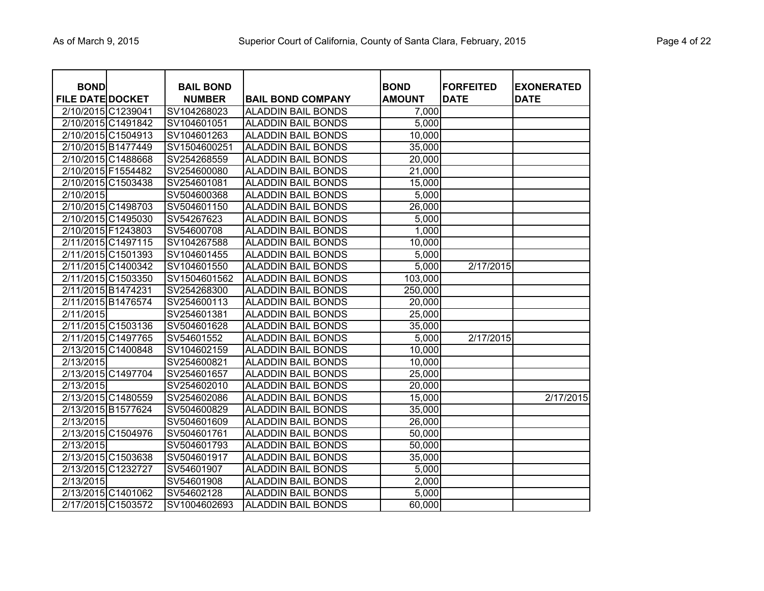| <b>BOND</b><br><b>FILE DATE DOCKET</b> |                    | <b>BAIL BOND</b><br><b>NUMBER</b> | <b>BAIL BOND COMPANY</b>  | <b>BOND</b><br><b>AMOUNT</b> | <b>FORFEITED</b><br><b>DATE</b> | <b>EXONERATED</b><br><b>DATE</b> |
|----------------------------------------|--------------------|-----------------------------------|---------------------------|------------------------------|---------------------------------|----------------------------------|
| 2/10/2015 C1239041                     |                    | SV104268023                       | <b>ALADDIN BAIL BONDS</b> | 7,000                        |                                 |                                  |
|                                        | 2/10/2015 C1491842 | SV104601051                       | <b>ALADDIN BAIL BONDS</b> | 5,000                        |                                 |                                  |
| 2/10/2015 C1504913                     |                    | SV104601263                       | <b>ALADDIN BAIL BONDS</b> | 10,000                       |                                 |                                  |
| 2/10/2015 B1477449                     |                    | SV1504600251                      | <b>ALADDIN BAIL BONDS</b> | 35,000                       |                                 |                                  |
|                                        | 2/10/2015 C1488668 | SV254268559                       | <b>ALADDIN BAIL BONDS</b> | 20,000                       |                                 |                                  |
| 2/10/2015 F1554482                     |                    | SV254600080                       | <b>ALADDIN BAIL BONDS</b> | 21,000                       |                                 |                                  |
|                                        | 2/10/2015 C1503438 | SV254601081                       | <b>ALADDIN BAIL BONDS</b> | 15,000                       |                                 |                                  |
| 2/10/2015                              |                    | SV504600368                       | <b>ALADDIN BAIL BONDS</b> | 5,000                        |                                 |                                  |
|                                        | 2/10/2015 C1498703 | SV504601150                       | <b>ALADDIN BAIL BONDS</b> | 26,000                       |                                 |                                  |
|                                        | 2/10/2015 C1495030 | SV54267623                        | <b>ALADDIN BAIL BONDS</b> | 5,000                        |                                 |                                  |
| 2/10/2015 F1243803                     |                    | SV54600708                        | <b>ALADDIN BAIL BONDS</b> | 1,000                        |                                 |                                  |
|                                        | 2/11/2015 C1497115 | SV104267588                       | <b>ALADDIN BAIL BONDS</b> | 10,000                       |                                 |                                  |
|                                        | 2/11/2015 C1501393 | SV104601455                       | <b>ALADDIN BAIL BONDS</b> | 5,000                        |                                 |                                  |
|                                        | 2/11/2015 C1400342 | SV104601550                       | <b>ALADDIN BAIL BONDS</b> | 5,000                        | 2/17/2015                       |                                  |
|                                        | 2/11/2015 C1503350 | SV1504601562                      | <b>ALADDIN BAIL BONDS</b> | 103,000                      |                                 |                                  |
| 2/11/2015 B1474231                     |                    | SV254268300                       | <b>ALADDIN BAIL BONDS</b> | 250,000                      |                                 |                                  |
| 2/11/2015 B1476574                     |                    | SV254600113                       | <b>ALADDIN BAIL BONDS</b> | 20,000                       |                                 |                                  |
| 2/11/2015                              |                    | SV254601381                       | <b>ALADDIN BAIL BONDS</b> | 25,000                       |                                 |                                  |
| 2/11/2015 C1503136                     |                    | SV504601628                       | <b>ALADDIN BAIL BONDS</b> | 35,000                       |                                 |                                  |
|                                        | 2/11/2015 C1497765 | SV54601552                        | <b>ALADDIN BAIL BONDS</b> | 5,000                        | 2/17/2015                       |                                  |
| 2/13/2015 C1400848                     |                    | SV104602159                       | <b>ALADDIN BAIL BONDS</b> | 10,000                       |                                 |                                  |
| 2/13/2015                              |                    | SV254600821                       | <b>ALADDIN BAIL BONDS</b> | 10,000                       |                                 |                                  |
|                                        | 2/13/2015 C1497704 | SV254601657                       | <b>ALADDIN BAIL BONDS</b> | 25,000                       |                                 |                                  |
| 2/13/2015                              |                    | SV254602010                       | <b>ALADDIN BAIL BONDS</b> | 20,000                       |                                 |                                  |
|                                        | 2/13/2015 C1480559 | SV254602086                       | <b>ALADDIN BAIL BONDS</b> | 15,000                       |                                 | 2/17/2015                        |
|                                        | 2/13/2015 B1577624 | SV504600829                       | <b>ALADDIN BAIL BONDS</b> | 35,000                       |                                 |                                  |
| 2/13/2015                              |                    | SV504601609                       | <b>ALADDIN BAIL BONDS</b> | 26,000                       |                                 |                                  |
|                                        | 2/13/2015 C1504976 | SV504601761                       | <b>ALADDIN BAIL BONDS</b> | 50,000                       |                                 |                                  |
| 2/13/2015                              |                    | SV504601793                       | <b>ALADDIN BAIL BONDS</b> | 50,000                       |                                 |                                  |
|                                        | 2/13/2015 C1503638 | SV504601917                       | <b>ALADDIN BAIL BONDS</b> | 35,000                       |                                 |                                  |
| 2/13/2015 C1232727                     |                    | SV54601907                        | <b>ALADDIN BAIL BONDS</b> | 5,000                        |                                 |                                  |
| 2/13/2015                              |                    | SV54601908                        | <b>ALADDIN BAIL BONDS</b> | 2,000                        |                                 |                                  |
|                                        | 2/13/2015 C1401062 | SV54602128                        | <b>ALADDIN BAIL BONDS</b> | 5,000                        |                                 |                                  |
|                                        | 2/17/2015 C1503572 | SV1004602693                      | <b>ALADDIN BAIL BONDS</b> | 60,000                       |                                 |                                  |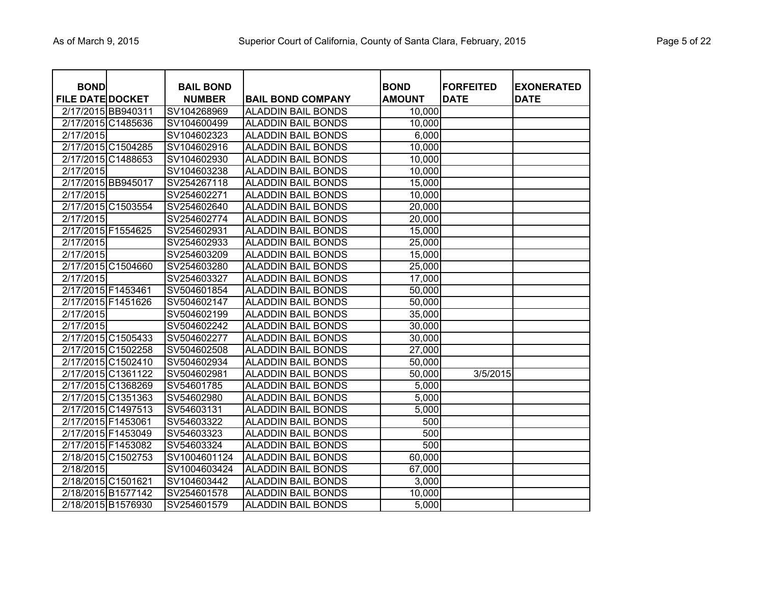| <b>BOND</b><br><b>FILE DATE DOCKET</b> | <b>BAIL BOND</b><br><b>NUMBER</b> | <b>BAIL BOND COMPANY</b>  | <b>BOND</b><br><b>AMOUNT</b> | <b>FORFEITED</b><br><b>DATE</b> | <b>EXONERATED</b><br><b>DATE</b> |
|----------------------------------------|-----------------------------------|---------------------------|------------------------------|---------------------------------|----------------------------------|
| 2/17/2015 BB940311                     | SV104268969                       | <b>ALADDIN BAIL BONDS</b> | 10,000                       |                                 |                                  |
| 2/17/2015 C1485636                     | SV104600499                       | <b>ALADDIN BAIL BONDS</b> | 10,000                       |                                 |                                  |
| 2/17/2015                              | SV104602323                       | <b>ALADDIN BAIL BONDS</b> | 6,000                        |                                 |                                  |
| 2/17/2015 C1504285                     | SV104602916                       | <b>ALADDIN BAIL BONDS</b> | 10,000                       |                                 |                                  |
| 2/17/2015 C1488653                     | SV104602930                       | <b>ALADDIN BAIL BONDS</b> | 10,000                       |                                 |                                  |
| 2/17/2015                              | SV104603238                       | <b>ALADDIN BAIL BONDS</b> | 10,000                       |                                 |                                  |
| 2/17/2015 BB945017                     | SV254267118                       | <b>ALADDIN BAIL BONDS</b> | 15,000                       |                                 |                                  |
| 2/17/2015                              | SV254602271                       | <b>ALADDIN BAIL BONDS</b> | 10,000                       |                                 |                                  |
| 2/17/2015 C1503554                     | SV254602640                       | <b>ALADDIN BAIL BONDS</b> | 20,000                       |                                 |                                  |
| 2/17/2015                              | SV254602774                       | <b>ALADDIN BAIL BONDS</b> | 20,000                       |                                 |                                  |
| 2/17/2015 F1554625                     | SV254602931                       | <b>ALADDIN BAIL BONDS</b> | 15,000                       |                                 |                                  |
| 2/17/2015                              | SV254602933                       | <b>ALADDIN BAIL BONDS</b> | 25,000                       |                                 |                                  |
| 2/17/2015                              | SV254603209                       | <b>ALADDIN BAIL BONDS</b> | 15,000                       |                                 |                                  |
| 2/17/2015 C1504660                     | SV254603280                       | <b>ALADDIN BAIL BONDS</b> | 25,000                       |                                 |                                  |
| 2/17/2015                              | SV254603327                       | <b>ALADDIN BAIL BONDS</b> | 17,000                       |                                 |                                  |
| 2/17/2015 F1453461                     | SV504601854                       | <b>ALADDIN BAIL BONDS</b> | 50,000                       |                                 |                                  |
| 2/17/2015 F1451626                     | SV504602147                       | <b>ALADDIN BAIL BONDS</b> | 50,000                       |                                 |                                  |
| 2/17/2015                              | SV504602199                       | <b>ALADDIN BAIL BONDS</b> | 35,000                       |                                 |                                  |
| 2/17/2015                              | SV504602242                       | <b>ALADDIN BAIL BONDS</b> | 30,000                       |                                 |                                  |
| 2/17/2015 C1505433                     | SV504602277                       | <b>ALADDIN BAIL BONDS</b> | 30,000                       |                                 |                                  |
| 2/17/2015 C1502258                     | SV504602508                       | <b>ALADDIN BAIL BONDS</b> | 27,000                       |                                 |                                  |
| 2/17/2015 C1502410                     | SV504602934                       | <b>ALADDIN BAIL BONDS</b> | 50,000                       |                                 |                                  |
| 2/17/2015 C1361122                     | SV504602981                       | <b>ALADDIN BAIL BONDS</b> | 50,000                       | 3/5/2015                        |                                  |
| 2/17/2015 C1368269                     | SV54601785                        | <b>ALADDIN BAIL BONDS</b> | 5,000                        |                                 |                                  |
| 2/17/2015 C1351363                     | SV54602980                        | <b>ALADDIN BAIL BONDS</b> | 5,000                        |                                 |                                  |
| 2/17/2015 C1497513                     | SV54603131                        | <b>ALADDIN BAIL BONDS</b> | 5,000                        |                                 |                                  |
| 2/17/2015 F1453061                     | SV54603322                        | <b>ALADDIN BAIL BONDS</b> | 500                          |                                 |                                  |
| 2/17/2015 F1453049                     | SV54603323                        | <b>ALADDIN BAIL BONDS</b> | 500                          |                                 |                                  |
| 2/17/2015 F1453082                     | SV54603324                        | <b>ALADDIN BAIL BONDS</b> | 500                          |                                 |                                  |
| 2/18/2015 C1502753                     | SV1004601124                      | <b>ALADDIN BAIL BONDS</b> | 60,000                       |                                 |                                  |
| 2/18/2015                              | SV1004603424                      | <b>ALADDIN BAIL BONDS</b> | 67,000                       |                                 |                                  |
| 2/18/2015 C1501621                     | SV104603442                       | <b>ALADDIN BAIL BONDS</b> | 3,000                        |                                 |                                  |
| 2/18/2015 B1577142                     | SV254601578                       | <b>ALADDIN BAIL BONDS</b> | 10,000                       |                                 |                                  |
| 2/18/2015 B1576930                     | SV254601579                       | <b>ALADDIN BAIL BONDS</b> | 5,000                        |                                 |                                  |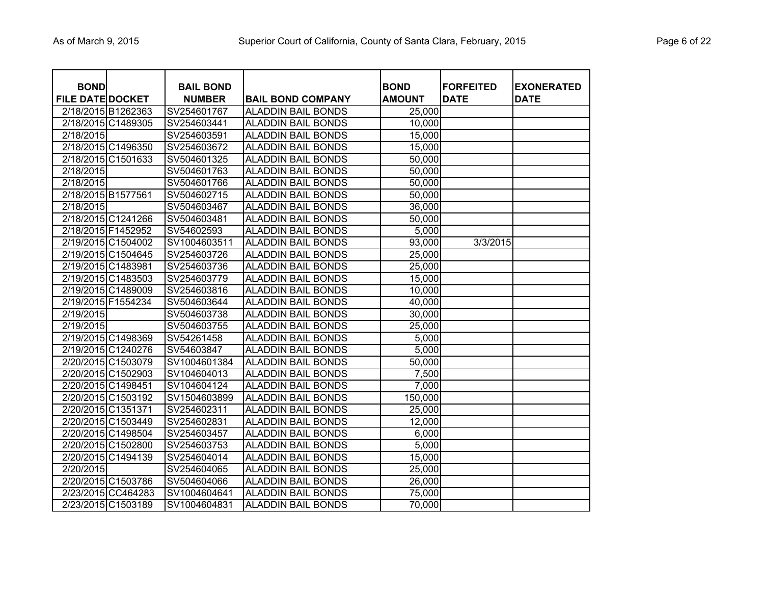|  | Page 6 of 22 |  |  |  |
|--|--------------|--|--|--|
|--|--------------|--|--|--|

| <b>BOND</b><br><b>FILE DATE DOCKET</b> |                    | <b>BAIL BOND</b><br><b>NUMBER</b> | <b>BAIL BOND COMPANY</b>  | <b>BOND</b><br><b>AMOUNT</b> | <b>FORFEITED</b><br><b>DATE</b> | <b>EXONERATED</b><br><b>DATE</b> |
|----------------------------------------|--------------------|-----------------------------------|---------------------------|------------------------------|---------------------------------|----------------------------------|
|                                        | 2/18/2015 B1262363 | SV254601767                       | <b>ALADDIN BAIL BONDS</b> | 25,000                       |                                 |                                  |
|                                        | 2/18/2015 C1489305 | SV254603441                       | <b>ALADDIN BAIL BONDS</b> | 10,000                       |                                 |                                  |
| 2/18/2015                              |                    | SV254603591                       | <b>ALADDIN BAIL BONDS</b> | 15,000                       |                                 |                                  |
|                                        | 2/18/2015 C1496350 | SV254603672                       | <b>ALADDIN BAIL BONDS</b> | 15,000                       |                                 |                                  |
|                                        | 2/18/2015 C1501633 | SV504601325                       | <b>ALADDIN BAIL BONDS</b> | 50,000                       |                                 |                                  |
| 2/18/2015                              |                    | SV504601763                       | <b>ALADDIN BAIL BONDS</b> | 50,000                       |                                 |                                  |
| 2/18/2015                              |                    | SV504601766                       | <b>ALADDIN BAIL BONDS</b> | 50,000                       |                                 |                                  |
|                                        | 2/18/2015 B1577561 | SV504602715                       | <b>ALADDIN BAIL BONDS</b> | 50,000                       |                                 |                                  |
| 2/18/2015                              |                    | SV504603467                       | <b>ALADDIN BAIL BONDS</b> | 36,000                       |                                 |                                  |
|                                        | 2/18/2015 C1241266 | SV504603481                       | <b>ALADDIN BAIL BONDS</b> | 50,000                       |                                 |                                  |
|                                        | 2/18/2015 F1452952 | SV54602593                        | <b>ALADDIN BAIL BONDS</b> | 5,000                        |                                 |                                  |
|                                        | 2/19/2015 C1504002 | SV1004603511                      | <b>ALADDIN BAIL BONDS</b> | 93,000                       | 3/3/2015                        |                                  |
|                                        | 2/19/2015 C1504645 | SV254603726                       | <b>ALADDIN BAIL BONDS</b> | 25,000                       |                                 |                                  |
|                                        | 2/19/2015 C1483981 | SV254603736                       | <b>ALADDIN BAIL BONDS</b> | 25,000                       |                                 |                                  |
|                                        | 2/19/2015 C1483503 | SV254603779                       | <b>ALADDIN BAIL BONDS</b> | 15,000                       |                                 |                                  |
|                                        | 2/19/2015 C1489009 | SV254603816                       | <b>ALADDIN BAIL BONDS</b> | 10,000                       |                                 |                                  |
|                                        | 2/19/2015 F1554234 | SV504603644                       | <b>ALADDIN BAIL BONDS</b> | 40,000                       |                                 |                                  |
| 2/19/2015                              |                    | SV504603738                       | <b>ALADDIN BAIL BONDS</b> | 30,000                       |                                 |                                  |
| 2/19/2015                              |                    | SV504603755                       | <b>ALADDIN BAIL BONDS</b> | 25,000                       |                                 |                                  |
|                                        | 2/19/2015 C1498369 | SV54261458                        | <b>ALADDIN BAIL BONDS</b> | 5,000                        |                                 |                                  |
|                                        | 2/19/2015 C1240276 | SV54603847                        | <b>ALADDIN BAIL BONDS</b> | 5,000                        |                                 |                                  |
|                                        | 2/20/2015 C1503079 | SV1004601384                      | <b>ALADDIN BAIL BONDS</b> | 50,000                       |                                 |                                  |
|                                        | 2/20/2015 C1502903 | SV104604013                       | <b>ALADDIN BAIL BONDS</b> | 7,500                        |                                 |                                  |
|                                        | 2/20/2015 C1498451 | SV104604124                       | <b>ALADDIN BAIL BONDS</b> | 7,000                        |                                 |                                  |
|                                        | 2/20/2015 C1503192 | SV1504603899                      | <b>ALADDIN BAIL BONDS</b> | 150,000                      |                                 |                                  |
|                                        | 2/20/2015 C1351371 | SV254602311                       | <b>ALADDIN BAIL BONDS</b> | 25,000                       |                                 |                                  |
|                                        | 2/20/2015 C1503449 | SV254602831                       | <b>ALADDIN BAIL BONDS</b> | 12,000                       |                                 |                                  |
|                                        | 2/20/2015 C1498504 | SV254603457                       | <b>ALADDIN BAIL BONDS</b> | 6,000                        |                                 |                                  |
|                                        | 2/20/2015 C1502800 | SV254603753                       | <b>ALADDIN BAIL BONDS</b> | 5,000                        |                                 |                                  |
|                                        | 2/20/2015 C1494139 | SV254604014                       | <b>ALADDIN BAIL BONDS</b> | 15,000                       |                                 |                                  |
| 2/20/2015                              |                    | SV254604065                       | <b>ALADDIN BAIL BONDS</b> | 25,000                       |                                 |                                  |
|                                        | 2/20/2015 C1503786 | SV504604066                       | <b>ALADDIN BAIL BONDS</b> | 26,000                       |                                 |                                  |
|                                        | 2/23/2015 CC464283 | SV1004604641                      | <b>ALADDIN BAIL BONDS</b> | 75,000                       |                                 |                                  |
|                                        | 2/23/2015 C1503189 | SV1004604831                      | <b>ALADDIN BAIL BONDS</b> | 70,000                       |                                 |                                  |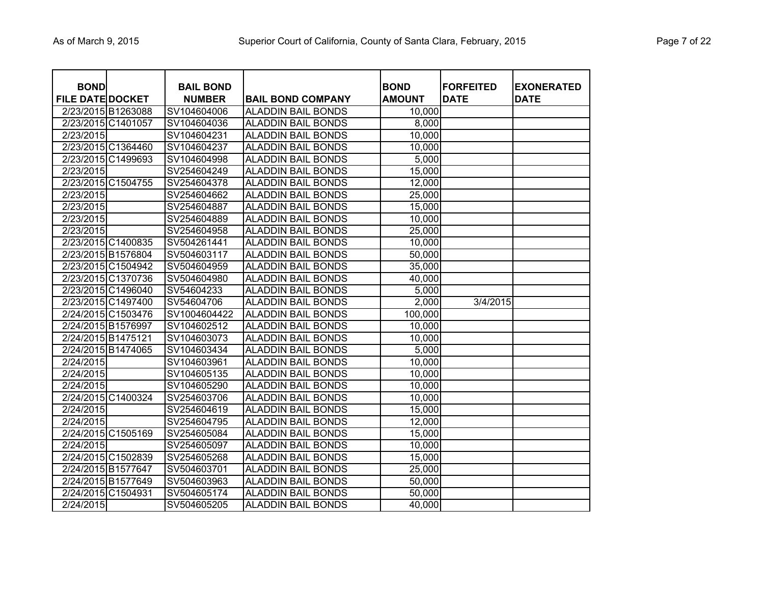| <b>BOND</b><br><b>FILE DATE DOCKET</b> | <b>BAIL BOND</b><br><b>NUMBER</b> | <b>BAIL BOND COMPANY</b>  | <b>BOND</b><br><b>AMOUNT</b> | <b>FORFEITED</b><br><b>DATE</b> | <b>EXONERATED</b><br><b>DATE</b> |
|----------------------------------------|-----------------------------------|---------------------------|------------------------------|---------------------------------|----------------------------------|
| 2/23/2015 B1263088                     | SV104604006                       | <b>ALADDIN BAIL BONDS</b> | 10,000                       |                                 |                                  |
| 2/23/2015 C1401057                     | SV104604036                       | <b>ALADDIN BAIL BONDS</b> | 8,000                        |                                 |                                  |
| 2/23/2015                              | SV104604231                       | <b>ALADDIN BAIL BONDS</b> | 10,000                       |                                 |                                  |
| 2/23/2015 C1364460                     | SV104604237                       | <b>ALADDIN BAIL BONDS</b> | 10,000                       |                                 |                                  |
| 2/23/2015 C1499693                     | SV104604998                       | <b>ALADDIN BAIL BONDS</b> | 5,000                        |                                 |                                  |
| 2/23/2015                              | SV254604249                       | <b>ALADDIN BAIL BONDS</b> | 15,000                       |                                 |                                  |
| 2/23/2015 C1504755                     | SV254604378                       | <b>ALADDIN BAIL BONDS</b> | 12,000                       |                                 |                                  |
| 2/23/2015                              | SV254604662                       | <b>ALADDIN BAIL BONDS</b> | 25,000                       |                                 |                                  |
| 2/23/2015                              | SV254604887                       | <b>ALADDIN BAIL BONDS</b> | 15,000                       |                                 |                                  |
| 2/23/2015                              | SV254604889                       | <b>ALADDIN BAIL BONDS</b> | 10,000                       |                                 |                                  |
| 2/23/2015                              | SV254604958                       | <b>ALADDIN BAIL BONDS</b> | 25,000                       |                                 |                                  |
| 2/23/2015 C1400835                     | SV504261441                       | <b>ALADDIN BAIL BONDS</b> | 10,000                       |                                 |                                  |
| 2/23/2015 B1576804                     | SV504603117                       | <b>ALADDIN BAIL BONDS</b> | 50,000                       |                                 |                                  |
| 2/23/2015 C1504942                     | SV504604959                       | <b>ALADDIN BAIL BONDS</b> | 35,000                       |                                 |                                  |
| 2/23/2015 C1370736                     | SV504604980                       | <b>ALADDIN BAIL BONDS</b> | 40,000                       |                                 |                                  |
| 2/23/2015 C1496040                     | SV54604233                        | <b>ALADDIN BAIL BONDS</b> | 5,000                        |                                 |                                  |
| 2/23/2015 C1497400                     | SV54604706                        | <b>ALADDIN BAIL BONDS</b> | 2,000                        | 3/4/2015                        |                                  |
| 2/24/2015 C1503476                     | SV1004604422                      | <b>ALADDIN BAIL BONDS</b> | 100,000                      |                                 |                                  |
| 2/24/2015 B1576997                     | SV104602512                       | <b>ALADDIN BAIL BONDS</b> | 10,000                       |                                 |                                  |
| 2/24/2015 B1475121                     | SV104603073                       | <b>ALADDIN BAIL BONDS</b> | 10,000                       |                                 |                                  |
| 2/24/2015 B1474065                     | SV104603434                       | <b>ALADDIN BAIL BONDS</b> | 5,000                        |                                 |                                  |
| 2/24/2015                              | SV104603961                       | <b>ALADDIN BAIL BONDS</b> | 10,000                       |                                 |                                  |
| 2/24/2015                              | SV104605135                       | <b>ALADDIN BAIL BONDS</b> | 10,000                       |                                 |                                  |
| 2/24/2015                              | SV104605290                       | <b>ALADDIN BAIL BONDS</b> | 10,000                       |                                 |                                  |
| 2/24/2015 C1400324                     | SV254603706                       | <b>ALADDIN BAIL BONDS</b> | 10,000                       |                                 |                                  |
| 2/24/2015                              | SV254604619                       | <b>ALADDIN BAIL BONDS</b> | 15,000                       |                                 |                                  |
| 2/24/2015                              | SV254604795                       | <b>ALADDIN BAIL BONDS</b> | 12,000                       |                                 |                                  |
| 2/24/2015 C1505169                     | SV254605084                       | <b>ALADDIN BAIL BONDS</b> | 15,000                       |                                 |                                  |
| 2/24/2015                              | SV254605097                       | <b>ALADDIN BAIL BONDS</b> | 10,000                       |                                 |                                  |
| 2/24/2015 C1502839                     | SV254605268                       | <b>ALADDIN BAIL BONDS</b> | 15,000                       |                                 |                                  |
| 2/24/2015 B1577647                     | SV504603701                       | <b>ALADDIN BAIL BONDS</b> | 25,000                       |                                 |                                  |
| 2/24/2015 B1577649                     | SV504603963                       | <b>ALADDIN BAIL BONDS</b> | 50,000                       |                                 |                                  |
| 2/24/2015 C1504931                     | SV504605174                       | <b>ALADDIN BAIL BONDS</b> | 50,000                       |                                 |                                  |
| 2/24/2015                              | SV504605205                       | <b>ALADDIN BAIL BONDS</b> | 40,000                       |                                 |                                  |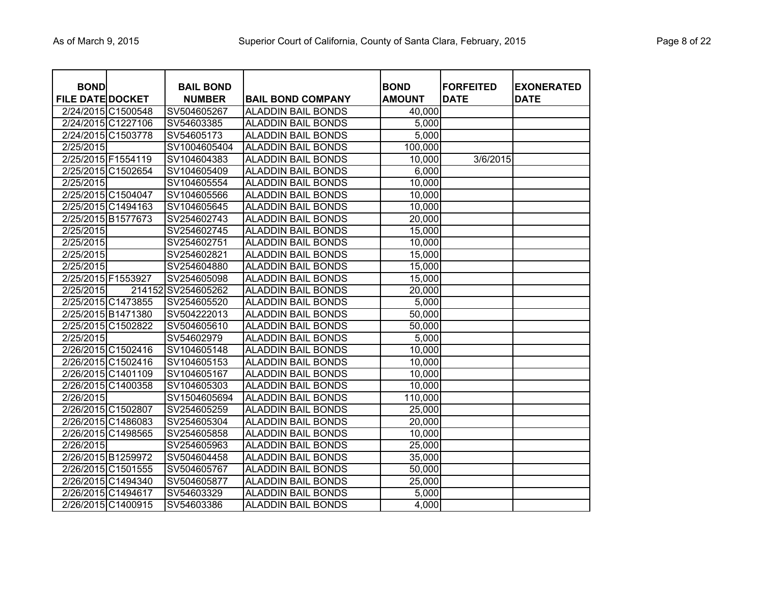|  | Page 8 of 22 |  |  |  |
|--|--------------|--|--|--|
|--|--------------|--|--|--|

| <b>BOND</b><br><b>FILE DATE DOCKET</b> |                    | <b>BAIL BOND</b><br><b>NUMBER</b> | <b>BAIL BOND COMPANY</b>  | <b>BOND</b><br><b>AMOUNT</b> | <b>FORFEITED</b><br><b>DATE</b> | <b>EXONERATED</b><br><b>DATE</b> |
|----------------------------------------|--------------------|-----------------------------------|---------------------------|------------------------------|---------------------------------|----------------------------------|
|                                        | 2/24/2015 C1500548 | SV504605267                       | <b>ALADDIN BAIL BONDS</b> | 40,000                       |                                 |                                  |
|                                        | 2/24/2015 C1227106 | SV54603385                        | <b>ALADDIN BAIL BONDS</b> | 5,000                        |                                 |                                  |
|                                        | 2/24/2015 C1503778 | SV54605173                        | <b>ALADDIN BAIL BONDS</b> | 5,000                        |                                 |                                  |
| 2/25/2015                              |                    | SV1004605404                      | <b>ALADDIN BAIL BONDS</b> | 100,000                      |                                 |                                  |
|                                        | 2/25/2015 F1554119 | SV104604383                       | <b>ALADDIN BAIL BONDS</b> | 10,000                       | 3/6/2015                        |                                  |
|                                        | 2/25/2015 C1502654 | SV104605409                       | <b>ALADDIN BAIL BONDS</b> | 6,000                        |                                 |                                  |
| 2/25/2015                              |                    | SV104605554                       | <b>ALADDIN BAIL BONDS</b> | 10,000                       |                                 |                                  |
|                                        | 2/25/2015 C1504047 | SV104605566                       | <b>ALADDIN BAIL BONDS</b> | 10,000                       |                                 |                                  |
|                                        | 2/25/2015 C1494163 | SV104605645                       | <b>ALADDIN BAIL BONDS</b> | 10,000                       |                                 |                                  |
|                                        | 2/25/2015 B1577673 | SV254602743                       | <b>ALADDIN BAIL BONDS</b> | 20,000                       |                                 |                                  |
| 2/25/2015                              |                    | SV254602745                       | <b>ALADDIN BAIL BONDS</b> | 15,000                       |                                 |                                  |
| 2/25/2015                              |                    | SV254602751                       | <b>ALADDIN BAIL BONDS</b> | 10,000                       |                                 |                                  |
| 2/25/2015                              |                    | SV254602821                       | <b>ALADDIN BAIL BONDS</b> | 15,000                       |                                 |                                  |
| 2/25/2015                              |                    | SV254604880                       | <b>ALADDIN BAIL BONDS</b> | 15,000                       |                                 |                                  |
|                                        | 2/25/2015 F1553927 | SV254605098                       | <b>ALADDIN BAIL BONDS</b> | 15,000                       |                                 |                                  |
| 2/25/2015                              |                    | 214152 SV254605262                | <b>ALADDIN BAIL BONDS</b> | 20,000                       |                                 |                                  |
|                                        | 2/25/2015 C1473855 | SV254605520                       | <b>ALADDIN BAIL BONDS</b> | 5,000                        |                                 |                                  |
|                                        | 2/25/2015 B1471380 | SV504222013                       | <b>ALADDIN BAIL BONDS</b> | 50,000                       |                                 |                                  |
|                                        | 2/25/2015 C1502822 | SV504605610                       | <b>ALADDIN BAIL BONDS</b> | 50,000                       |                                 |                                  |
| 2/25/2015                              |                    | SV54602979                        | <b>ALADDIN BAIL BONDS</b> | 5,000                        |                                 |                                  |
|                                        | 2/26/2015 C1502416 | SV104605148                       | <b>ALADDIN BAIL BONDS</b> | 10,000                       |                                 |                                  |
|                                        | 2/26/2015 C1502416 | SV104605153                       | <b>ALADDIN BAIL BONDS</b> | 10,000                       |                                 |                                  |
|                                        | 2/26/2015 C1401109 | SV104605167                       | <b>ALADDIN BAIL BONDS</b> | 10,000                       |                                 |                                  |
|                                        | 2/26/2015 C1400358 | SV104605303                       | <b>ALADDIN BAIL BONDS</b> | 10,000                       |                                 |                                  |
| 2/26/2015                              |                    | SV1504605694                      | <b>ALADDIN BAIL BONDS</b> | 110,000                      |                                 |                                  |
|                                        | 2/26/2015 C1502807 | SV254605259                       | <b>ALADDIN BAIL BONDS</b> | 25,000                       |                                 |                                  |
|                                        | 2/26/2015 C1486083 | SV254605304                       | <b>ALADDIN BAIL BONDS</b> | 20,000                       |                                 |                                  |
|                                        | 2/26/2015 C1498565 | SV254605858                       | <b>ALADDIN BAIL BONDS</b> | 10,000                       |                                 |                                  |
| 2/26/2015                              |                    | SV254605963                       | <b>ALADDIN BAIL BONDS</b> | 25,000                       |                                 |                                  |
|                                        | 2/26/2015 B1259972 | SV504604458                       | <b>ALADDIN BAIL BONDS</b> | 35,000                       |                                 |                                  |
|                                        | 2/26/2015 C1501555 | SV504605767                       | <b>ALADDIN BAIL BONDS</b> | 50,000                       |                                 |                                  |
|                                        | 2/26/2015 C1494340 | SV504605877                       | <b>ALADDIN BAIL BONDS</b> | 25,000                       |                                 |                                  |
|                                        | 2/26/2015 C1494617 | SV54603329                        | <b>ALADDIN BAIL BONDS</b> | 5,000                        |                                 |                                  |
|                                        | 2/26/2015 C1400915 | SV54603386                        | <b>ALADDIN BAIL BONDS</b> | 4,000                        |                                 |                                  |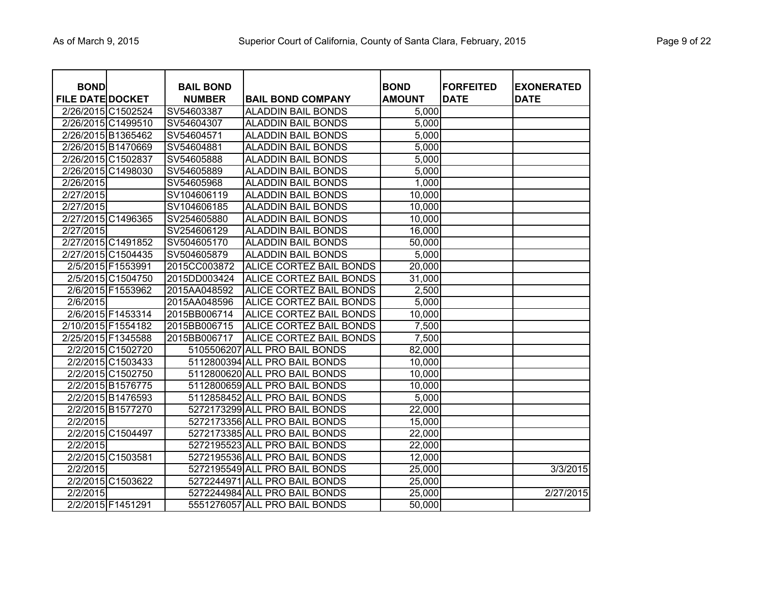|  | Page 9 of 22 |  |  |  |
|--|--------------|--|--|--|
|--|--------------|--|--|--|

| <b>BOND</b><br><b>FILE DATE DOCKET</b> |                    | <b>BAIL BOND</b><br><b>NUMBER</b> | <b>BAIL BOND COMPANY</b>      | <b>BOND</b><br><b>AMOUNT</b> | <b>FORFEITED</b><br><b>DATE</b> | <b>EXONERATED</b><br><b>DATE</b> |
|----------------------------------------|--------------------|-----------------------------------|-------------------------------|------------------------------|---------------------------------|----------------------------------|
|                                        | 2/26/2015 C1502524 | SV54603387                        | <b>ALADDIN BAIL BONDS</b>     | 5,000                        |                                 |                                  |
|                                        | 2/26/2015 C1499510 | SV54604307                        | <b>ALADDIN BAIL BONDS</b>     | 5,000                        |                                 |                                  |
|                                        | 2/26/2015 B1365462 | SV54604571                        | <b>ALADDIN BAIL BONDS</b>     | 5,000                        |                                 |                                  |
|                                        | 2/26/2015 B1470669 | SV54604881                        | <b>ALADDIN BAIL BONDS</b>     | 5,000                        |                                 |                                  |
|                                        | 2/26/2015 C1502837 | SV54605888                        | <b>ALADDIN BAIL BONDS</b>     | 5,000                        |                                 |                                  |
|                                        | 2/26/2015 C1498030 | SV54605889                        | <b>ALADDIN BAIL BONDS</b>     | 5,000                        |                                 |                                  |
| 2/26/2015                              |                    | SV54605968                        | <b>ALADDIN BAIL BONDS</b>     | 1,000                        |                                 |                                  |
| 2/27/2015                              |                    | SV104606119                       | <b>ALADDIN BAIL BONDS</b>     | 10,000                       |                                 |                                  |
| 2/27/2015                              |                    | SV104606185                       | <b>ALADDIN BAIL BONDS</b>     | 10,000                       |                                 |                                  |
|                                        | 2/27/2015 C1496365 | SV254605880                       | <b>ALADDIN BAIL BONDS</b>     | 10,000                       |                                 |                                  |
| 2/27/2015                              |                    | SV254606129                       | <b>ALADDIN BAIL BONDS</b>     | 16,000                       |                                 |                                  |
|                                        | 2/27/2015 C1491852 | SV504605170                       | <b>ALADDIN BAIL BONDS</b>     | 50,000                       |                                 |                                  |
|                                        | 2/27/2015 C1504435 | SV504605879                       | <b>ALADDIN BAIL BONDS</b>     | 5,000                        |                                 |                                  |
|                                        | 2/5/2015 F1553991  | 2015CC003872                      | ALICE CORTEZ BAIL BONDS       | 20,000                       |                                 |                                  |
|                                        | 2/5/2015 C1504750  | 2015DD003424                      | ALICE CORTEZ BAIL BONDS       | 31,000                       |                                 |                                  |
|                                        | 2/6/2015 F1553962  | 2015AA048592                      | ALICE CORTEZ BAIL BONDS       | 2,500                        |                                 |                                  |
| 2/6/2015                               |                    | 2015AA048596                      | ALICE CORTEZ BAIL BONDS       | 5,000                        |                                 |                                  |
|                                        | 2/6/2015 F1453314  | 2015BB006714                      | ALICE CORTEZ BAIL BONDS       | 10,000                       |                                 |                                  |
|                                        | 2/10/2015 F1554182 | 2015BB006715                      | ALICE CORTEZ BAIL BONDS       | 7,500                        |                                 |                                  |
|                                        | 2/25/2015 F1345588 | 2015BB006717                      | ALICE CORTEZ BAIL BONDS       | 7,500                        |                                 |                                  |
|                                        | 2/2/2015 C1502720  |                                   | 5105506207 ALL PRO BAIL BONDS | 82,000                       |                                 |                                  |
|                                        | 2/2/2015 C1503433  |                                   | 5112800394 ALL PRO BAIL BONDS | 10,000                       |                                 |                                  |
|                                        | 2/2/2015 C1502750  |                                   | 5112800620 ALL PRO BAIL BONDS | 10,000                       |                                 |                                  |
|                                        | 2/2/2015 B1576775  |                                   | 5112800659 ALL PRO BAIL BONDS | 10,000                       |                                 |                                  |
|                                        | 2/2/2015 B1476593  |                                   | 5112858452 ALL PRO BAIL BONDS | 5,000                        |                                 |                                  |
|                                        | 2/2/2015 B1577270  |                                   | 5272173299 ALL PRO BAIL BONDS | 22,000                       |                                 |                                  |
| 2/2/2015                               |                    |                                   | 5272173356 ALL PRO BAIL BONDS | 15,000                       |                                 |                                  |
|                                        | 2/2/2015 C1504497  |                                   | 5272173385 ALL PRO BAIL BONDS | 22,000                       |                                 |                                  |
| 2/2/2015                               |                    |                                   | 5272195523 ALL PRO BAIL BONDS | 22,000                       |                                 |                                  |
|                                        | 2/2/2015 C1503581  |                                   | 5272195536 ALL PRO BAIL BONDS | 12,000                       |                                 |                                  |
| 2/2/2015                               |                    |                                   | 5272195549 ALL PRO BAIL BONDS | 25,000                       |                                 | 3/3/2015                         |
|                                        | 2/2/2015 C1503622  |                                   | 5272244971 ALL PRO BAIL BONDS | 25,000                       |                                 |                                  |
| 2/2/2015                               |                    |                                   | 5272244984 ALL PRO BAIL BONDS | 25,000                       |                                 | 2/27/2015                        |
|                                        | 2/2/2015 F1451291  |                                   | 5551276057 ALL PRO BAIL BONDS | 50,000                       |                                 |                                  |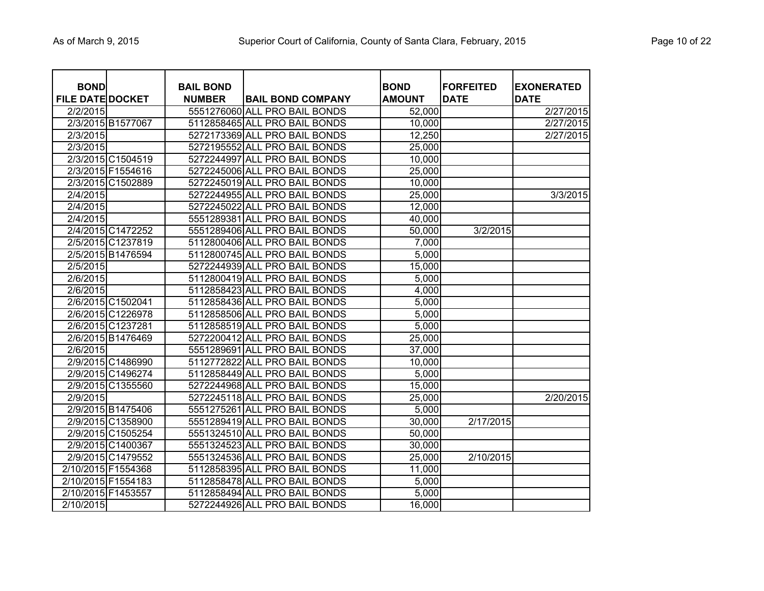| <b>BOND</b><br><b>FILE DATE DOCKET</b> | <b>BAIL BOND</b><br><b>NUMBER</b> | <b>BAIL BOND COMPANY</b>      | <b>BOND</b><br><b>AMOUNT</b> | <b>FORFEITED</b><br><b>DATE</b> | <b>EXONERATED</b><br><b>DATE</b> |
|----------------------------------------|-----------------------------------|-------------------------------|------------------------------|---------------------------------|----------------------------------|
| 2/2/2015                               |                                   | 5551276060 ALL PRO BAIL BONDS | 52,000                       |                                 | 2/27/2015                        |
| 2/3/2015 B1577067                      |                                   | 5112858465 ALL PRO BAIL BONDS | 10,000                       |                                 | 2/27/2015                        |
| 2/3/2015                               |                                   | 5272173369 ALL PRO BAIL BONDS | 12,250                       |                                 | 2/27/2015                        |
| 2/3/2015                               |                                   | 5272195552 ALL PRO BAIL BONDS | 25,000                       |                                 |                                  |
| 2/3/2015 C1504519                      |                                   | 5272244997 ALL PRO BAIL BONDS | 10,000                       |                                 |                                  |
| 2/3/2015 F1554616                      |                                   | 5272245006 ALL PRO BAIL BONDS | 25,000                       |                                 |                                  |
| 2/3/2015 C1502889                      |                                   | 5272245019 ALL PRO BAIL BONDS | 10,000                       |                                 |                                  |
| 2/4/2015                               |                                   | 5272244955 ALL PRO BAIL BONDS | 25,000                       |                                 | 3/3/2015                         |
| 2/4/2015                               |                                   | 5272245022 ALL PRO BAIL BONDS | 12,000                       |                                 |                                  |
| 2/4/2015                               |                                   | 5551289381 ALL PRO BAIL BONDS | 40,000                       |                                 |                                  |
| 2/4/2015 C1472252                      |                                   | 5551289406 ALL PRO BAIL BONDS | 50,000                       | 3/2/2015                        |                                  |
| 2/5/2015 C1237819                      |                                   | 5112800406 ALL PRO BAIL BONDS | 7,000                        |                                 |                                  |
| 2/5/2015 B1476594                      |                                   | 5112800745 ALL PRO BAIL BONDS | 5,000                        |                                 |                                  |
| 2/5/2015                               |                                   | 5272244939 ALL PRO BAIL BONDS | 15,000                       |                                 |                                  |
| 2/6/2015                               |                                   | 5112800419 ALL PRO BAIL BONDS | 5,000                        |                                 |                                  |
| 2/6/2015                               |                                   | 5112858423 ALL PRO BAIL BONDS | 4,000                        |                                 |                                  |
| 2/6/2015 C1502041                      |                                   | 5112858436 ALL PRO BAIL BONDS | 5,000                        |                                 |                                  |
| 2/6/2015 C1226978                      |                                   | 5112858506 ALL PRO BAIL BONDS | 5,000                        |                                 |                                  |
| 2/6/2015 C1237281                      |                                   | 5112858519 ALL PRO BAIL BONDS | 5,000                        |                                 |                                  |
| 2/6/2015 B1476469                      |                                   | 5272200412 ALL PRO BAIL BONDS | 25,000                       |                                 |                                  |
| 2/6/2015                               |                                   | 5551289691 ALL PRO BAIL BONDS | 37,000                       |                                 |                                  |
| 2/9/2015 C1486990                      |                                   | 5112772822 ALL PRO BAIL BONDS | 10,000                       |                                 |                                  |
| 2/9/2015 C1496274                      |                                   | 5112858449 ALL PRO BAIL BONDS | 5,000                        |                                 |                                  |
| 2/9/2015 C1355560                      |                                   | 5272244968 ALL PRO BAIL BONDS | 15,000                       |                                 |                                  |
| 2/9/2015                               |                                   | 5272245118 ALL PRO BAIL BONDS | 25,000                       |                                 | 2/20/2015                        |
| 2/9/2015 B1475406                      |                                   | 5551275261 ALL PRO BAIL BONDS | 5,000                        |                                 |                                  |
| 2/9/2015 C1358900                      |                                   | 5551289419 ALL PRO BAIL BONDS | 30,000                       | 2/17/2015                       |                                  |
| 2/9/2015 C1505254                      |                                   | 5551324510 ALL PRO BAIL BONDS | 50,000                       |                                 |                                  |
| 2/9/2015 C1400367                      |                                   | 5551324523 ALL PRO BAIL BONDS | 30,000                       |                                 |                                  |
| 2/9/2015 C1479552                      |                                   | 5551324536 ALL PRO BAIL BONDS | 25,000                       | 2/10/2015                       |                                  |
| 2/10/2015 F1554368                     |                                   | 5112858395 ALL PRO BAIL BONDS | 11,000                       |                                 |                                  |
| 2/10/2015 F1554183                     |                                   | 5112858478 ALL PRO BAIL BONDS | 5,000                        |                                 |                                  |
| 2/10/2015 F1453557                     |                                   | 5112858494 ALL PRO BAIL BONDS | 5,000                        |                                 |                                  |
| 2/10/2015                              |                                   | 5272244926 ALL PRO BAIL BONDS | 16,000                       |                                 |                                  |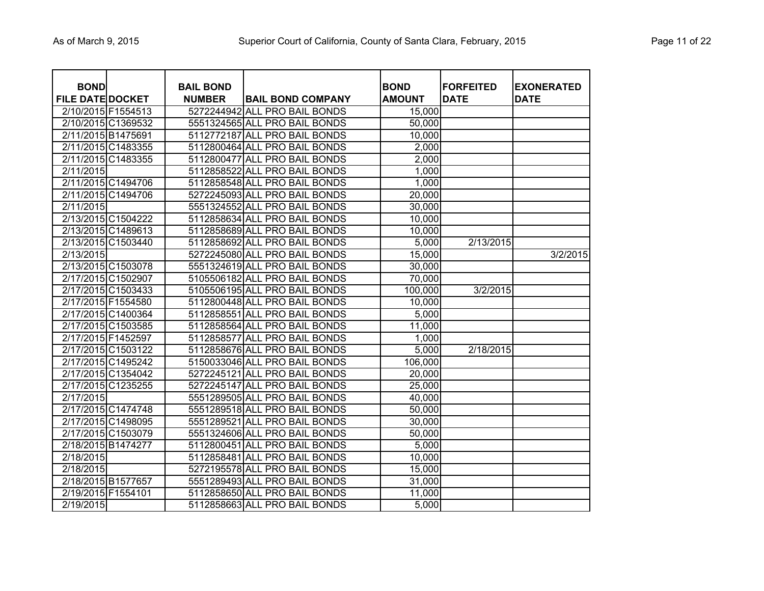|  |  |  | Page 11 of 22 |  |
|--|--|--|---------------|--|
|--|--|--|---------------|--|

| <b>BOND</b><br><b>FILE DATE DOCKET</b> |                    | <b>BAIL BOND</b><br><b>NUMBER</b> | <b>BAIL BOND COMPANY</b>      | <b>BOND</b><br><b>AMOUNT</b> | <b>FORFEITED</b><br><b>DATE</b> | <b>EXONERATED</b><br><b>DATE</b> |
|----------------------------------------|--------------------|-----------------------------------|-------------------------------|------------------------------|---------------------------------|----------------------------------|
| 2/10/2015 F1554513                     |                    | 5272244942                        | <b>ALL PRO BAIL BONDS</b>     | 15,000                       |                                 |                                  |
|                                        | 2/10/2015 C1369532 |                                   | 5551324565 ALL PRO BAIL BONDS | 50,000                       |                                 |                                  |
| 2/11/2015 B1475691                     |                    |                                   | 5112772187 ALL PRO BAIL BONDS | 10,000                       |                                 |                                  |
|                                        | 2/11/2015 C1483355 |                                   | 5112800464 ALL PRO BAIL BONDS | 2,000                        |                                 |                                  |
|                                        | 2/11/2015 C1483355 |                                   | 5112800477 ALL PRO BAIL BONDS | 2,000                        |                                 |                                  |
| 2/11/2015                              |                    | 5112858522                        | ALL PRO BAIL BONDS            | 1,000                        |                                 |                                  |
|                                        | 2/11/2015 C1494706 |                                   | 5112858548 ALL PRO BAIL BONDS | 1,000                        |                                 |                                  |
|                                        | 2/11/2015 C1494706 |                                   | 5272245093 ALL PRO BAIL BONDS | 20,000                       |                                 |                                  |
| 2/11/2015                              |                    |                                   | 5551324552 ALL PRO BAIL BONDS | 30,000                       |                                 |                                  |
|                                        | 2/13/2015 C1504222 |                                   | 5112858634 ALL PRO BAIL BONDS | 10,000                       |                                 |                                  |
|                                        | 2/13/2015 C1489613 |                                   | 5112858689 ALL PRO BAIL BONDS | 10,000                       |                                 |                                  |
| 2/13/2015 C1503440                     |                    |                                   | 5112858692 ALL PRO BAIL BONDS | 5,000                        | 2/13/2015                       |                                  |
| 2/13/2015                              |                    |                                   | 5272245080 ALL PRO BAIL BONDS | 15,000                       |                                 | 3/2/2015                         |
|                                        | 2/13/2015 C1503078 |                                   | 5551324619 ALL PRO BAIL BONDS | 30,000                       |                                 |                                  |
|                                        | 2/17/2015 C1502907 |                                   | 5105506182 ALL PRO BAIL BONDS | 70,000                       |                                 |                                  |
|                                        | 2/17/2015 C1503433 |                                   | 5105506195 ALL PRO BAIL BONDS | 100,000                      | 3/2/2015                        |                                  |
| 2/17/2015 F1554580                     |                    |                                   | 5112800448 ALL PRO BAIL BONDS | 10,000                       |                                 |                                  |
|                                        | 2/17/2015 C1400364 |                                   | 5112858551 ALL PRO BAIL BONDS | 5,000                        |                                 |                                  |
|                                        | 2/17/2015 C1503585 |                                   | 5112858564 ALL PRO BAIL BONDS | 11,000                       |                                 |                                  |
| 2/17/2015 F1452597                     |                    | 5112858577                        | ALL PRO BAIL BONDS            | 1,000                        |                                 |                                  |
|                                        | 2/17/2015 C1503122 |                                   | 5112858676 ALL PRO BAIL BONDS | 5,000                        | 2/18/2015                       |                                  |
|                                        | 2/17/2015 C1495242 |                                   | 5150033046 ALL PRO BAIL BONDS | 106,000                      |                                 |                                  |
|                                        | 2/17/2015 C1354042 |                                   | 5272245121 ALL PRO BAIL BONDS | 20,000                       |                                 |                                  |
|                                        | 2/17/2015 C1235255 |                                   | 5272245147 ALL PRO BAIL BONDS | 25,000                       |                                 |                                  |
| 2/17/2015                              |                    |                                   | 5551289505 ALL PRO BAIL BONDS | 40,000                       |                                 |                                  |
|                                        | 2/17/2015 C1474748 |                                   | 5551289518 ALL PRO BAIL BONDS | 50,000                       |                                 |                                  |
|                                        | 2/17/2015 C1498095 | 5551289521                        | <b>ALL PRO BAIL BONDS</b>     | 30,000                       |                                 |                                  |
|                                        | 2/17/2015 C1503079 |                                   | 5551324606 ALL PRO BAIL BONDS | 50,000                       |                                 |                                  |
| 2/18/2015 B1474277                     |                    | 5112800451                        | <b>ALL PRO BAIL BONDS</b>     | 5,000                        |                                 |                                  |
| 2/18/2015                              |                    |                                   | 5112858481 ALL PRO BAIL BONDS | 10,000                       |                                 |                                  |
| 2/18/2015                              |                    |                                   | 5272195578 ALL PRO BAIL BONDS | 15,000                       |                                 |                                  |
| 2/18/2015 B1577657                     |                    |                                   | 5551289493 ALL PRO BAIL BONDS | 31,000                       |                                 |                                  |
| 2/19/2015 F1554101                     |                    |                                   | 5112858650 ALL PRO BAIL BONDS | 11,000                       |                                 |                                  |
| 2/19/2015                              |                    |                                   | 5112858663 ALL PRO BAIL BONDS | 5,000                        |                                 |                                  |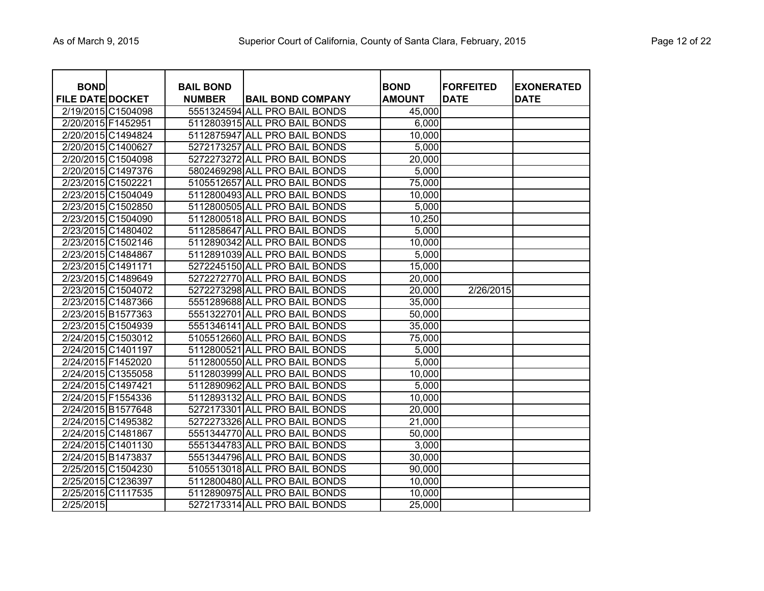| Page 12 of 22 |  |  |  |  |
|---------------|--|--|--|--|
|---------------|--|--|--|--|

| <b>BOND</b>             |                    | <b>BAIL BOND</b> |                               | <b>BOND</b>   | <b>FORFEITED</b> | <b>EXONERATED</b> |
|-------------------------|--------------------|------------------|-------------------------------|---------------|------------------|-------------------|
| <b>FILE DATE DOCKET</b> |                    | <b>NUMBER</b>    | <b>BAIL BOND COMPANY</b>      | <b>AMOUNT</b> | <b>DATE</b>      | <b>DATE</b>       |
|                         | 2/19/2015 C1504098 |                  | 5551324594 ALL PRO BAIL BONDS | 45,000        |                  |                   |
| 2/20/2015 F1452951      |                    |                  | 5112803915 ALL PRO BAIL BONDS | 6,000         |                  |                   |
|                         | 2/20/2015 C1494824 |                  | 5112875947 ALL PRO BAIL BONDS | 10,000        |                  |                   |
|                         | 2/20/2015 C1400627 |                  | 5272173257 ALL PRO BAIL BONDS | 5,000         |                  |                   |
|                         | 2/20/2015 C1504098 |                  | 5272273272 ALL PRO BAIL BONDS | 20,000        |                  |                   |
|                         | 2/20/2015 C1497376 |                  | 5802469298 ALL PRO BAIL BONDS | 5,000         |                  |                   |
|                         | 2/23/2015 C1502221 |                  | 5105512657 ALL PRO BAIL BONDS | 75,000        |                  |                   |
|                         | 2/23/2015 C1504049 |                  | 5112800493 ALL PRO BAIL BONDS | 10,000        |                  |                   |
|                         | 2/23/2015 C1502850 |                  | 5112800505 ALL PRO BAIL BONDS | 5,000         |                  |                   |
|                         | 2/23/2015 C1504090 |                  | 5112800518 ALL PRO BAIL BONDS | 10,250        |                  |                   |
|                         | 2/23/2015 C1480402 |                  | 5112858647 ALL PRO BAIL BONDS | 5,000         |                  |                   |
|                         | 2/23/2015 C1502146 |                  | 5112890342 ALL PRO BAIL BONDS | 10,000        |                  |                   |
|                         | 2/23/2015 C1484867 |                  | 5112891039 ALL PRO BAIL BONDS | 5,000         |                  |                   |
|                         | 2/23/2015 C1491171 |                  | 5272245150 ALL PRO BAIL BONDS | 15,000        |                  |                   |
|                         | 2/23/2015 C1489649 |                  | 5272272770 ALL PRO BAIL BONDS | 20,000        |                  |                   |
|                         | 2/23/2015 C1504072 |                  | 5272273298 ALL PRO BAIL BONDS | 20,000        | 2/26/2015        |                   |
|                         | 2/23/2015 C1487366 |                  | 5551289688 ALL PRO BAIL BONDS | 35,000        |                  |                   |
|                         | 2/23/2015 B1577363 |                  | 5551322701 ALL PRO BAIL BONDS | 50,000        |                  |                   |
|                         | 2/23/2015 C1504939 |                  | 5551346141 ALL PRO BAIL BONDS | 35,000        |                  |                   |
|                         | 2/24/2015 C1503012 |                  | 5105512660 ALL PRO BAIL BONDS | 75,000        |                  |                   |
|                         | 2/24/2015 C1401197 |                  | 5112800521 ALL PRO BAIL BONDS | 5,000         |                  |                   |
|                         | 2/24/2015 F1452020 |                  | 5112800550 ALL PRO BAIL BONDS | 5,000         |                  |                   |
|                         | 2/24/2015 C1355058 |                  | 5112803999 ALL PRO BAIL BONDS | 10,000        |                  |                   |
|                         | 2/24/2015 C1497421 |                  | 5112890962 ALL PRO BAIL BONDS | 5,000         |                  |                   |
|                         | 2/24/2015 F1554336 |                  | 5112893132 ALL PRO BAIL BONDS | 10,000        |                  |                   |
|                         | 2/24/2015 B1577648 |                  | 5272173301 ALL PRO BAIL BONDS | 20,000        |                  |                   |
|                         | 2/24/2015 C1495382 |                  | 5272273326 ALL PRO BAIL BONDS | 21,000        |                  |                   |
|                         | 2/24/2015 C1481867 |                  | 5551344770 ALL PRO BAIL BONDS | 50,000        |                  |                   |
|                         | 2/24/2015 C1401130 |                  | 5551344783 ALL PRO BAIL BONDS | 3,000         |                  |                   |
|                         | 2/24/2015 B1473837 |                  | 5551344796 ALL PRO BAIL BONDS | 30,000        |                  |                   |
|                         | 2/25/2015 C1504230 |                  | 5105513018 ALL PRO BAIL BONDS | 90,000        |                  |                   |
|                         | 2/25/2015 C1236397 |                  | 5112800480 ALL PRO BAIL BONDS | 10,000        |                  |                   |
|                         | 2/25/2015 C1117535 |                  | 5112890975 ALL PRO BAIL BONDS | 10,000        |                  |                   |
| 2/25/2015               |                    |                  | 5272173314 ALL PRO BAIL BONDS | 25,000        |                  |                   |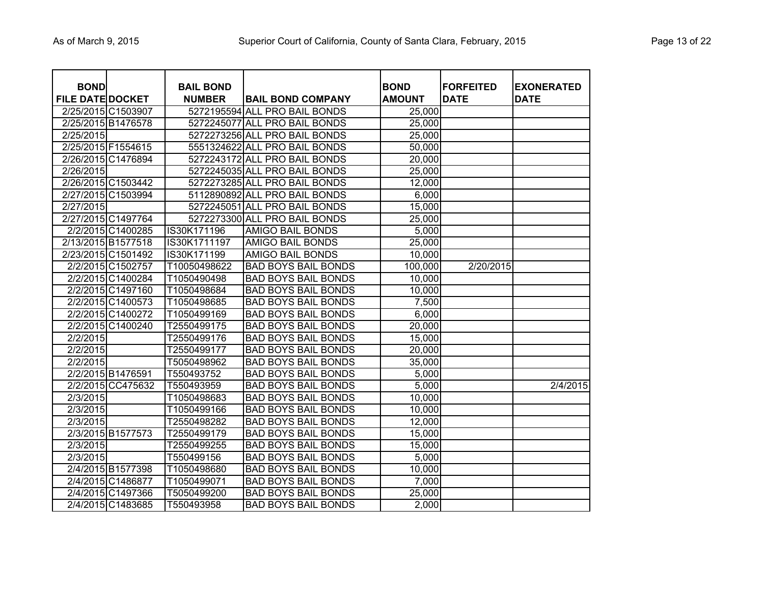|  | Page 13 of 22 |  |  |  |
|--|---------------|--|--|--|
|--|---------------|--|--|--|

| <b>BOND</b>             |                    | <b>BAIL BOND</b> |                               | <b>BOND</b>   | <b>FORFEITED</b> | <b>EXONERATED</b> |
|-------------------------|--------------------|------------------|-------------------------------|---------------|------------------|-------------------|
| <b>FILE DATE DOCKET</b> |                    | <b>NUMBER</b>    | <b>BAIL BOND COMPANY</b>      | <b>AMOUNT</b> | <b>DATE</b>      | <b>DATE</b>       |
| 2/25/2015 C1503907      |                    |                  | 5272195594 ALL PRO BAIL BONDS | 25,000        |                  |                   |
| 2/25/2015 B1476578      |                    |                  | 5272245077 ALL PRO BAIL BONDS | 25,000        |                  |                   |
| 2/25/2015               |                    |                  | 5272273256 ALL PRO BAIL BONDS | 25,000        |                  |                   |
| 2/25/2015 F1554615      |                    |                  | 5551324622 ALL PRO BAIL BONDS | 50,000        |                  |                   |
|                         | 2/26/2015 C1476894 |                  | 5272243172 ALL PRO BAIL BONDS | 20,000        |                  |                   |
| 2/26/2015               |                    |                  | 5272245035 ALL PRO BAIL BONDS | 25,000        |                  |                   |
|                         | 2/26/2015 C1503442 |                  | 5272273285 ALL PRO BAIL BONDS | 12,000        |                  |                   |
|                         | 2/27/2015 C1503994 |                  | 5112890892 ALL PRO BAIL BONDS | 6,000         |                  |                   |
| 2/27/2015               |                    |                  | 5272245051 ALL PRO BAIL BONDS | 15,000        |                  |                   |
|                         | 2/27/2015 C1497764 |                  | 5272273300 ALL PRO BAIL BONDS | 25,000        |                  |                   |
|                         | 2/2/2015 C1400285  | IS30K171196      | <b>AMIGO BAIL BONDS</b>       | 5,000         |                  |                   |
|                         | 2/13/2015 B1577518 | IS30K1711197     | AMIGO BAIL BONDS              | 25,000        |                  |                   |
|                         | 2/23/2015 C1501492 | IS30K171199      | AMIGO BAIL BONDS              | 10,000        |                  |                   |
|                         | 2/2/2015 C1502757  | T10050498622     | <b>BAD BOYS BAIL BONDS</b>    | 100,000       | 2/20/2015        |                   |
|                         | 2/2/2015 C1400284  | T1050490498      | <b>BAD BOYS BAIL BONDS</b>    | 10,000        |                  |                   |
|                         | 2/2/2015 C1497160  | T1050498684      | <b>BAD BOYS BAIL BONDS</b>    | 10,000        |                  |                   |
|                         | 2/2/2015 C1400573  | T1050498685      | <b>BAD BOYS BAIL BONDS</b>    | 7,500         |                  |                   |
|                         | 2/2/2015 C1400272  | T1050499169      | <b>BAD BOYS BAIL BONDS</b>    | 6,000         |                  |                   |
|                         | 2/2/2015 C1400240  | T2550499175      | <b>BAD BOYS BAIL BONDS</b>    | 20,000        |                  |                   |
| $\overline{2}/2/2015$   |                    | T2550499176      | <b>BAD BOYS BAIL BONDS</b>    | 15,000        |                  |                   |
| $\overline{2}/2/2015$   |                    | T2550499177      | <b>BAD BOYS BAIL BONDS</b>    | 20,000        |                  |                   |
| 2/2/2015                |                    | T5050498962      | <b>BAD BOYS BAIL BONDS</b>    | 35,000        |                  |                   |
|                         | 2/2/2015 B1476591  | T550493752       | <b>BAD BOYS BAIL BONDS</b>    | 5,000         |                  |                   |
|                         | 2/2/2015 CC475632  | T550493959       | <b>BAD BOYS BAIL BONDS</b>    | 5,000         |                  | 2/4/2015          |
| 2/3/2015                |                    | T1050498683      | <b>BAD BOYS BAIL BONDS</b>    | 10,000        |                  |                   |
| 2/3/2015                |                    | T1050499166      | <b>BAD BOYS BAIL BONDS</b>    | 10,000        |                  |                   |
| 2/3/2015                |                    | T2550498282      | <b>BAD BOYS BAIL BONDS</b>    | 12,000        |                  |                   |
|                         | 2/3/2015 B1577573  | T2550499179      | <b>BAD BOYS BAIL BONDS</b>    | 15,000        |                  |                   |
| 2/3/2015                |                    | T2550499255      | <b>BAD BOYS BAIL BONDS</b>    | 15,000        |                  |                   |
| 2/3/2015                |                    | T550499156       | <b>BAD BOYS BAIL BONDS</b>    | 5,000         |                  |                   |
|                         | 2/4/2015 B1577398  | T1050498680      | <b>BAD BOYS BAIL BONDS</b>    | 10,000        |                  |                   |
|                         | 2/4/2015 C1486877  | T1050499071      | <b>BAD BOYS BAIL BONDS</b>    | 7,000         |                  |                   |
|                         | 2/4/2015 C1497366  | T5050499200      | <b>BAD BOYS BAIL BONDS</b>    | 25,000        |                  |                   |
|                         | 2/4/2015 C1483685  | T550493958       | <b>BAD BOYS BAIL BONDS</b>    | 2,000         |                  |                   |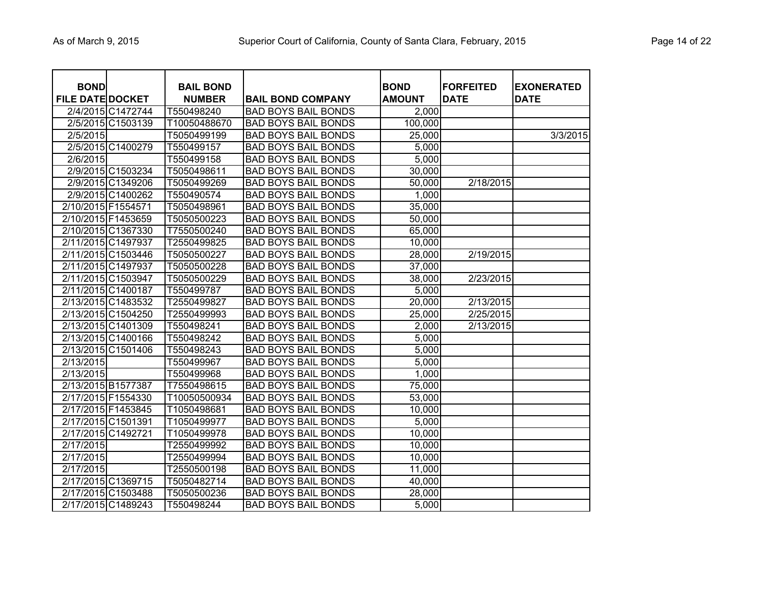| <b>BOND</b><br><b>FILE DATE DOCKET</b> |                    | <b>BAIL BOND</b><br><b>NUMBER</b> | <b>BAIL BOND COMPANY</b>   | <b>BOND</b><br><b>AMOUNT</b> | <b>FORFEITED</b><br><b>DATE</b> | <b>EXONERATED</b><br><b>DATE</b> |
|----------------------------------------|--------------------|-----------------------------------|----------------------------|------------------------------|---------------------------------|----------------------------------|
|                                        | 2/4/2015 C1472744  | T550498240                        | <b>BAD BOYS BAIL BONDS</b> | 2,000                        |                                 |                                  |
|                                        | 2/5/2015 C1503139  | T10050488670                      | <b>BAD BOYS BAIL BONDS</b> | 100,000                      |                                 |                                  |
| 2/5/2015                               |                    | T5050499199                       | <b>BAD BOYS BAIL BONDS</b> | 25,000                       |                                 | 3/3/2015                         |
|                                        | 2/5/2015 C1400279  | T550499157                        | <b>BAD BOYS BAIL BONDS</b> | 5,000                        |                                 |                                  |
| 2/6/2015                               |                    | T550499158                        | <b>BAD BOYS BAIL BONDS</b> | 5,000                        |                                 |                                  |
|                                        | 2/9/2015 C1503234  | T5050498611                       | <b>BAD BOYS BAIL BONDS</b> | 30,000                       |                                 |                                  |
|                                        | 2/9/2015 C1349206  | T5050499269                       | <b>BAD BOYS BAIL BONDS</b> | 50,000                       | 2/18/2015                       |                                  |
|                                        | 2/9/2015 C1400262  | T550490574                        | <b>BAD BOYS BAIL BONDS</b> | 1,000                        |                                 |                                  |
| 2/10/2015 F1554571                     |                    | T5050498961                       | <b>BAD BOYS BAIL BONDS</b> | 35,000                       |                                 |                                  |
| 2/10/2015 F1453659                     |                    | T5050500223                       | <b>BAD BOYS BAIL BONDS</b> | 50,000                       |                                 |                                  |
|                                        | 2/10/2015 C1367330 | T7550500240                       | <b>BAD BOYS BAIL BONDS</b> | 65,000                       |                                 |                                  |
| 2/11/2015 C1497937                     |                    | T2550499825                       | <b>BAD BOYS BAIL BONDS</b> | 10,000                       |                                 |                                  |
|                                        | 2/11/2015 C1503446 | T5050500227                       | <b>BAD BOYS BAIL BONDS</b> | 28,000                       | 2/19/2015                       |                                  |
| 2/11/2015 C1497937                     |                    | T5050500228                       | <b>BAD BOYS BAIL BONDS</b> | 37,000                       |                                 |                                  |
|                                        | 2/11/2015 C1503947 | T5050500229                       | <b>BAD BOYS BAIL BONDS</b> | 38,000                       | 2/23/2015                       |                                  |
| 2/11/2015 C1400187                     |                    | T550499787                        | <b>BAD BOYS BAIL BONDS</b> | 5,000                        |                                 |                                  |
|                                        | 2/13/2015 C1483532 | T2550499827                       | <b>BAD BOYS BAIL BONDS</b> | 20,000                       | 2/13/2015                       |                                  |
|                                        | 2/13/2015 C1504250 | T2550499993                       | <b>BAD BOYS BAIL BONDS</b> | 25,000                       | 2/25/2015                       |                                  |
|                                        | 2/13/2015 C1401309 | T550498241                        | <b>BAD BOYS BAIL BONDS</b> | 2,000                        | 2/13/2015                       |                                  |
|                                        | 2/13/2015 C1400166 | T550498242                        | <b>BAD BOYS BAIL BONDS</b> | 5,000                        |                                 |                                  |
|                                        | 2/13/2015 C1501406 | T550498243                        | <b>BAD BOYS BAIL BONDS</b> | 5,000                        |                                 |                                  |
| 2/13/2015                              |                    | T550499967                        | <b>BAD BOYS BAIL BONDS</b> | 5,000                        |                                 |                                  |
| 2/13/2015                              |                    | T550499968                        | <b>BAD BOYS BAIL BONDS</b> | 1,000                        |                                 |                                  |
| 2/13/2015 B1577387                     |                    | T7550498615                       | <b>BAD BOYS BAIL BONDS</b> | 75,000                       |                                 |                                  |
| 2/17/2015 F1554330                     |                    | T10050500934                      | <b>BAD BOYS BAIL BONDS</b> | 53,000                       |                                 |                                  |
| 2/17/2015 F1453845                     |                    | T1050498681                       | <b>BAD BOYS BAIL BONDS</b> | 10,000                       |                                 |                                  |
| 2/17/2015 C1501391                     |                    | T1050499977                       | <b>BAD BOYS BAIL BONDS</b> | 5,000                        |                                 |                                  |
| 2/17/2015 C1492721                     |                    | T1050499978                       | <b>BAD BOYS BAIL BONDS</b> | 10,000                       |                                 |                                  |
| 2/17/2015                              |                    | T2550499992                       | <b>BAD BOYS BAIL BONDS</b> | 10,000                       |                                 |                                  |
| 2/17/2015                              |                    | T2550499994                       | <b>BAD BOYS BAIL BONDS</b> | 10,000                       |                                 |                                  |
| 2/17/2015                              |                    | T2550500198                       | <b>BAD BOYS BAIL BONDS</b> | 11,000                       |                                 |                                  |
|                                        | 2/17/2015 C1369715 | T5050482714                       | <b>BAD BOYS BAIL BONDS</b> | 40,000                       |                                 |                                  |
|                                        | 2/17/2015 C1503488 | T5050500236                       | <b>BAD BOYS BAIL BONDS</b> | 28,000                       |                                 |                                  |
|                                        | 2/17/2015 C1489243 | T550498244                        | <b>BAD BOYS BAIL BONDS</b> | 5,000                        |                                 |                                  |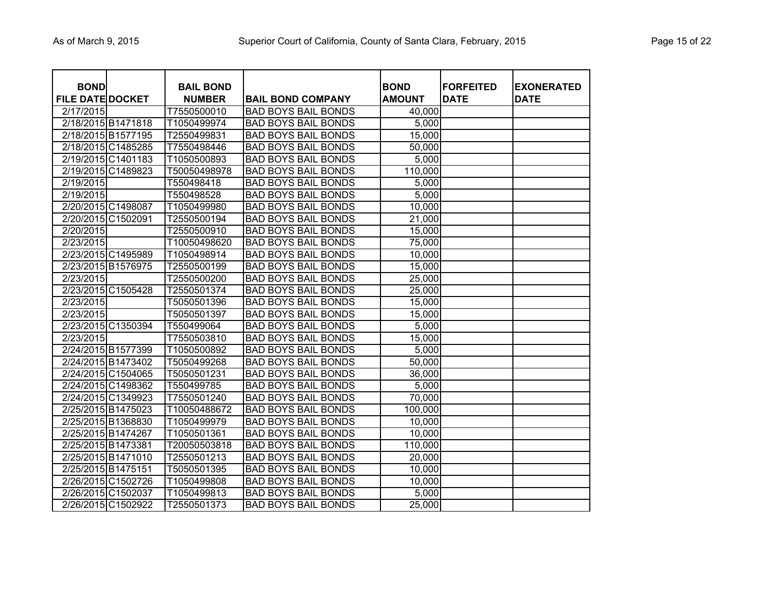|  | Page 15 of 22 |  |  |  |
|--|---------------|--|--|--|
|--|---------------|--|--|--|

| <b>BOND</b><br><b>FILE DATE DOCKET</b> |                    | <b>BAIL BOND</b><br><b>NUMBER</b> | <b>BAIL BOND COMPANY</b>   | <b>BOND</b><br><b>AMOUNT</b> | <b>FORFEITED</b><br><b>DATE</b> | <b>EXONERATED</b><br><b>DATE</b> |
|----------------------------------------|--------------------|-----------------------------------|----------------------------|------------------------------|---------------------------------|----------------------------------|
| 2/17/2015                              |                    | T7550500010                       | <b>BAD BOYS BAIL BONDS</b> | 40,000                       |                                 |                                  |
|                                        | 2/18/2015 B1471818 | T1050499974                       | <b>BAD BOYS BAIL BONDS</b> | 5,000                        |                                 |                                  |
|                                        | 2/18/2015 B1577195 | T2550499831                       | <b>BAD BOYS BAIL BONDS</b> | 15,000                       |                                 |                                  |
|                                        | 2/18/2015 C1485285 | T7550498446                       | <b>BAD BOYS BAIL BONDS</b> | 50,000                       |                                 |                                  |
|                                        | 2/19/2015 C1401183 | T1050500893                       | <b>BAD BOYS BAIL BONDS</b> | 5,000                        |                                 |                                  |
|                                        | 2/19/2015 C1489823 | T50050498978                      | <b>BAD BOYS BAIL BONDS</b> | 110,000                      |                                 |                                  |
| 2/19/2015                              |                    | T550498418                        | <b>BAD BOYS BAIL BONDS</b> | 5,000                        |                                 |                                  |
| $\overline{2}/19/2015$                 |                    | T550498528                        | <b>BAD BOYS BAIL BONDS</b> | 5,000                        |                                 |                                  |
|                                        | 2/20/2015 C1498087 | T1050499980                       | <b>BAD BOYS BAIL BONDS</b> | 10,000                       |                                 |                                  |
| 2/20/2015 C1502091                     |                    | T2550500194                       | <b>BAD BOYS BAIL BONDS</b> | 21,000                       |                                 |                                  |
| 2/20/2015                              |                    | T2550500910                       | <b>BAD BOYS BAIL BONDS</b> | 15,000                       |                                 |                                  |
| 2/23/2015                              |                    | T10050498620                      | <b>BAD BOYS BAIL BONDS</b> | 75,000                       |                                 |                                  |
|                                        | 2/23/2015 C1495989 | T1050498914                       | <b>BAD BOYS BAIL BONDS</b> | 10,000                       |                                 |                                  |
| 2/23/2015 B1576975                     |                    | T2550500199                       | <b>BAD BOYS BAIL BONDS</b> | 15,000                       |                                 |                                  |
| 2/23/2015                              |                    | T2550500200                       | <b>BAD BOYS BAIL BONDS</b> | 25,000                       |                                 |                                  |
|                                        | 2/23/2015 C1505428 | T2550501374                       | <b>BAD BOYS BAIL BONDS</b> | 25,000                       |                                 |                                  |
| 2/23/2015                              |                    | T5050501396                       | <b>BAD BOYS BAIL BONDS</b> | 15,000                       |                                 |                                  |
| 2/23/2015                              |                    | T5050501397                       | <b>BAD BOYS BAIL BONDS</b> | 15,000                       |                                 |                                  |
|                                        | 2/23/2015 C1350394 | T550499064                        | <b>BAD BOYS BAIL BONDS</b> | 5,000                        |                                 |                                  |
| 2/23/2015                              |                    | T7550503810                       | <b>BAD BOYS BAIL BONDS</b> | 15,000                       |                                 |                                  |
|                                        | 2/24/2015 B1577399 | T1050500892                       | <b>BAD BOYS BAIL BONDS</b> | 5,000                        |                                 |                                  |
|                                        | 2/24/2015 B1473402 | T5050499268                       | <b>BAD BOYS BAIL BONDS</b> | 50,000                       |                                 |                                  |
|                                        | 2/24/2015 C1504065 | T5050501231                       | <b>BAD BOYS BAIL BONDS</b> | 36,000                       |                                 |                                  |
|                                        | 2/24/2015 C1498362 | T550499785                        | <b>BAD BOYS BAIL BONDS</b> | 5,000                        |                                 |                                  |
|                                        | 2/24/2015 C1349923 | T7550501240                       | <b>BAD BOYS BAIL BONDS</b> | 70,000                       |                                 |                                  |
|                                        | 2/25/2015 B1475023 | T10050488672                      | <b>BAD BOYS BAIL BONDS</b> | 100,000                      |                                 |                                  |
|                                        | 2/25/2015 B1368830 | T1050499979                       | <b>BAD BOYS BAIL BONDS</b> | 10,000                       |                                 |                                  |
| 2/25/2015 B1474267                     |                    | T1050501361                       | <b>BAD BOYS BAIL BONDS</b> | 10,000                       |                                 |                                  |
| 2/25/2015 B1473381                     |                    | T20050503818                      | <b>BAD BOYS BAIL BONDS</b> | 110,000                      |                                 |                                  |
| 2/25/2015 B1471010                     |                    | T2550501213                       | <b>BAD BOYS BAIL BONDS</b> | 20,000                       |                                 |                                  |
| 2/25/2015 B1475151                     |                    | T5050501395                       | <b>BAD BOYS BAIL BONDS</b> | 10,000                       |                                 |                                  |
|                                        | 2/26/2015 C1502726 | T1050499808                       | <b>BAD BOYS BAIL BONDS</b> | 10,000                       |                                 |                                  |
|                                        | 2/26/2015 C1502037 | T1050499813                       | <b>BAD BOYS BAIL BONDS</b> | 5,000                        |                                 |                                  |
|                                        | 2/26/2015 C1502922 | T2550501373                       | <b>BAD BOYS BAIL BONDS</b> | 25,000                       |                                 |                                  |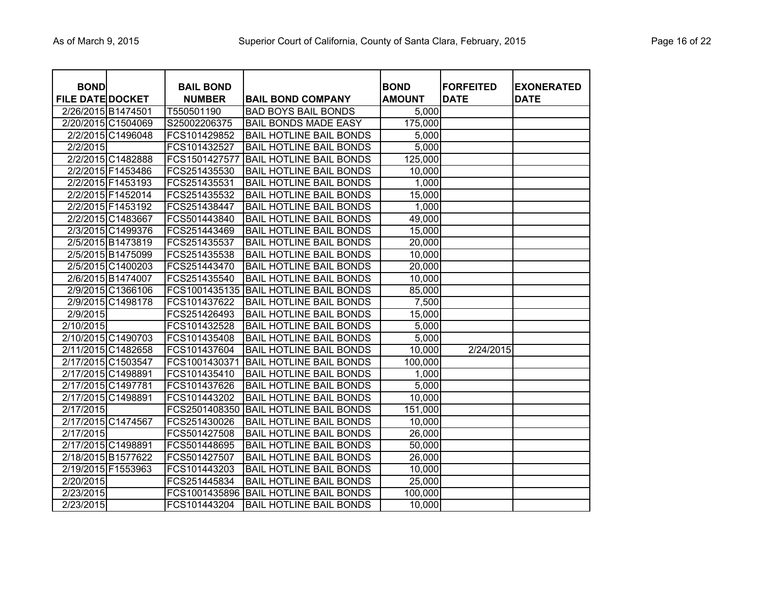| Page 16 of 22 |  |  |  |  |
|---------------|--|--|--|--|
|---------------|--|--|--|--|

| <b>BOND</b><br><b>FILE DATE DOCKET</b> |                    | <b>BAIL BOND</b><br><b>NUMBER</b> | <b>BAIL BOND COMPANY</b>       | <b>BOND</b><br><b>AMOUNT</b> | <b>FORFEITED</b><br><b>DATE</b> | <b>EXONERATED</b><br><b>DATE</b> |
|----------------------------------------|--------------------|-----------------------------------|--------------------------------|------------------------------|---------------------------------|----------------------------------|
| 2/26/2015 B1474501                     |                    | T550501190                        | <b>BAD BOYS BAIL BONDS</b>     | 5,000                        |                                 |                                  |
|                                        | 2/20/2015 C1504069 | S25002206375                      | <b>BAIL BONDS MADE EASY</b>    | $\overline{175,000}$         |                                 |                                  |
|                                        | 2/2/2015 C1496048  | FCS101429852                      | <b>BAIL HOTLINE BAIL BONDS</b> | 5,000                        |                                 |                                  |
| 2/2/2015                               |                    | FCS101432527                      | <b>BAIL HOTLINE BAIL BONDS</b> | 5,000                        |                                 |                                  |
|                                        | 2/2/2015 C1482888  | FCS1501427577                     | <b>BAIL HOTLINE BAIL BONDS</b> | 125,000                      |                                 |                                  |
|                                        | 2/2/2015 F1453486  | FCS251435530                      | <b>BAIL HOTLINE BAIL BONDS</b> | 10,000                       |                                 |                                  |
|                                        | 2/2/2015 F1453193  | FCS251435531                      | <b>BAIL HOTLINE BAIL BONDS</b> | 1,000                        |                                 |                                  |
|                                        | 2/2/2015 F1452014  | FCS251435532                      | <b>BAIL HOTLINE BAIL BONDS</b> | 15,000                       |                                 |                                  |
|                                        | 2/2/2015 F1453192  | FCS251438447                      | <b>BAIL HOTLINE BAIL BONDS</b> | 1,000                        |                                 |                                  |
|                                        | 2/2/2015 C1483667  | FCS501443840                      | <b>BAIL HOTLINE BAIL BONDS</b> | 49,000                       |                                 |                                  |
|                                        | 2/3/2015 C1499376  | FCS251443469                      | <b>BAIL HOTLINE BAIL BONDS</b> | 15,000                       |                                 |                                  |
|                                        | 2/5/2015 B1473819  | FCS251435537                      | <b>BAIL HOTLINE BAIL BONDS</b> | 20,000                       |                                 |                                  |
|                                        | 2/5/2015 B1475099  | FCS251435538                      | <b>BAIL HOTLINE BAIL BONDS</b> | 10,000                       |                                 |                                  |
|                                        | 2/5/2015 C1400203  | FCS251443470                      | <b>BAIL HOTLINE BAIL BONDS</b> | 20,000                       |                                 |                                  |
|                                        | 2/6/2015 B1474007  | FCS251435540                      | <b>BAIL HOTLINE BAIL BONDS</b> | 10,000                       |                                 |                                  |
|                                        | 2/9/2015 C1366106  | FCS1001435135                     | <b>BAIL HOTLINE BAIL BONDS</b> | 85,000                       |                                 |                                  |
|                                        | 2/9/2015 C1498178  | FCS101437622                      | <b>BAIL HOTLINE BAIL BONDS</b> | 7,500                        |                                 |                                  |
| 2/9/2015                               |                    | FCS251426493                      | <b>BAIL HOTLINE BAIL BONDS</b> | 15,000                       |                                 |                                  |
| 2/10/2015                              |                    | FCS101432528                      | <b>BAIL HOTLINE BAIL BONDS</b> | 5,000                        |                                 |                                  |
|                                        | 2/10/2015 C1490703 | FCS101435408                      | <b>BAIL HOTLINE BAIL BONDS</b> | 5,000                        |                                 |                                  |
|                                        | 2/11/2015 C1482658 | FCS101437604                      | <b>BAIL HOTLINE BAIL BONDS</b> | 10,000                       | 2/24/2015                       |                                  |
|                                        | 2/17/2015 C1503547 | FCS1001430371                     | <b>BAIL HOTLINE BAIL BONDS</b> | 100,000                      |                                 |                                  |
|                                        | 2/17/2015 C1498891 | FCS101435410                      | <b>BAIL HOTLINE BAIL BONDS</b> | 1,000                        |                                 |                                  |
| 2/17/2015 C1497781                     |                    | FCS101437626                      | <b>BAIL HOTLINE BAIL BONDS</b> | 5,000                        |                                 |                                  |
|                                        | 2/17/2015 C1498891 | FCS101443202                      | <b>BAIL HOTLINE BAIL BONDS</b> | 10,000                       |                                 |                                  |
| 2/17/2015                              |                    | FCS2501408350                     | <b>BAIL HOTLINE BAIL BONDS</b> | 151,000                      |                                 |                                  |
|                                        | 2/17/2015 C1474567 | FCS251430026                      | <b>BAIL HOTLINE BAIL BONDS</b> | 10,000                       |                                 |                                  |
| 2/17/2015                              |                    | FCS501427508                      | <b>BAIL HOTLINE BAIL BONDS</b> | 26,000                       |                                 |                                  |
|                                        | 2/17/2015 C1498891 | FCS501448695                      | <b>BAIL HOTLINE BAIL BONDS</b> | 50,000                       |                                 |                                  |
|                                        | 2/18/2015 B1577622 | FCS501427507                      | <b>BAIL HOTLINE BAIL BONDS</b> | 26,000                       |                                 |                                  |
|                                        | 2/19/2015 F1553963 | FCS101443203                      | <b>BAIL HOTLINE BAIL BONDS</b> | 10,000                       |                                 |                                  |
| 2/20/2015                              |                    | FCS251445834                      | <b>BAIL HOTLINE BAIL BONDS</b> | 25,000                       |                                 |                                  |
| 2/23/2015                              |                    | FCS1001435896                     | <b>BAIL HOTLINE BAIL BONDS</b> | 100,000                      |                                 |                                  |
| 2/23/2015                              |                    | FCS101443204                      | <b>BAIL HOTLINE BAIL BONDS</b> | 10,000                       |                                 |                                  |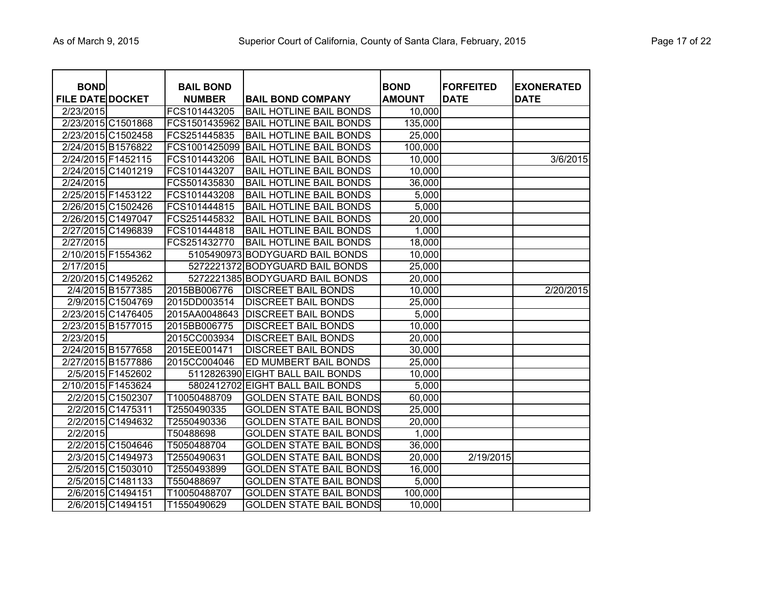| <b>BOND</b><br><b>FILE DATE DOCKET</b> | <b>BAIL BOND</b><br><b>NUMBER</b> | <b>BAIL BOND COMPANY</b>         | <b>BOND</b><br><b>AMOUNT</b> | <b>FORFEITED</b><br><b>DATE</b> | <b>EXONERATED</b><br><b>DATE</b> |
|----------------------------------------|-----------------------------------|----------------------------------|------------------------------|---------------------------------|----------------------------------|
| 2/23/2015                              | FCS101443205                      | <b>BAIL HOTLINE BAIL BONDS</b>   | 10,000                       |                                 |                                  |
| 2/23/2015 C1501868                     | FCS1501435962                     | <b>BAIL HOTLINE BAIL BONDS</b>   | 135,000                      |                                 |                                  |
| 2/23/2015 C1502458                     | FCS251445835                      | <b>BAIL HOTLINE BAIL BONDS</b>   | 25,000                       |                                 |                                  |
| 2/24/2015 B1576822                     | FCS1001425099                     | <b>BAIL HOTLINE BAIL BONDS</b>   | 100,000                      |                                 |                                  |
| 2/24/2015 F1452115                     | FCS101443206                      | <b>BAIL HOTLINE BAIL BONDS</b>   | 10,000                       |                                 | 3/6/2015                         |
| 2/24/2015 C1401219                     | FCS101443207                      | <b>BAIL HOTLINE BAIL BONDS</b>   | 10,000                       |                                 |                                  |
| 2/24/2015                              | FCS501435830                      | <b>BAIL HOTLINE BAIL BONDS</b>   | 36,000                       |                                 |                                  |
| 2/25/2015 F1453122                     | FCS101443208                      | <b>BAIL HOTLINE BAIL BONDS</b>   | 5,000                        |                                 |                                  |
| 2/26/2015 C1502426                     | FCS101444815                      | <b>BAIL HOTLINE BAIL BONDS</b>   | 5,000                        |                                 |                                  |
| 2/26/2015 C1497047                     | FCS251445832                      | <b>BAIL HOTLINE BAIL BONDS</b>   | 20,000                       |                                 |                                  |
| 2/27/2015 C1496839                     | FCS101444818                      | <b>BAIL HOTLINE BAIL BONDS</b>   | 1,000                        |                                 |                                  |
| 2/27/2015                              | FCS251432770                      | <b>BAIL HOTLINE BAIL BONDS</b>   | 18,000                       |                                 |                                  |
| 2/10/2015 F1554362                     |                                   | 5105490973 BODYGUARD BAIL BONDS  | 10,000                       |                                 |                                  |
| 2/17/2015                              |                                   | 5272221372 BODYGUARD BAIL BONDS  | 25,000                       |                                 |                                  |
| 2/20/2015 C1495262                     |                                   | 5272221385 BODYGUARD BAIL BONDS  | 20,000                       |                                 |                                  |
| 2/4/2015 B1577385                      | 2015BB006776                      | <b>DISCREET BAIL BONDS</b>       | 10,000                       |                                 | 2/20/2015                        |
| 2/9/2015 C1504769                      | 2015DD003514                      | <b>DISCREET BAIL BONDS</b>       | 25,000                       |                                 |                                  |
| 2/23/2015 C1476405                     | 2015AA0048643                     | <b>DISCREET BAIL BONDS</b>       | 5,000                        |                                 |                                  |
| 2/23/2015 B1577015                     | 2015BB006775                      | <b>DISCREET BAIL BONDS</b>       | 10,000                       |                                 |                                  |
| 2/23/2015                              | 2015CC003934                      | <b>DISCREET BAIL BONDS</b>       | 20,000                       |                                 |                                  |
| 2/24/2015 B1577658                     | 2015EE001471                      | <b>DISCREET BAIL BONDS</b>       | 30,000                       |                                 |                                  |
| 2/27/2015 B1577886                     | 2015CC004046                      | ED MUMBERT BAIL BONDS            | 25,000                       |                                 |                                  |
| 2/5/2015 F1452602                      |                                   | 5112826390 EIGHT BALL BAIL BONDS | 10,000                       |                                 |                                  |
| 2/10/2015 F1453624                     | 5802412702                        | <b>EIGHT BALL BAIL BONDS</b>     | 5,000                        |                                 |                                  |
| 2/2/2015 C1502307                      | T10050488709                      | <b>GOLDEN STATE BAIL BONDS</b>   | 60,000                       |                                 |                                  |
| 2/2/2015 C1475311                      | T2550490335                       | <b>GOLDEN STATE BAIL BONDS</b>   | 25,000                       |                                 |                                  |
| 2/2/2015 C1494632                      | T2550490336                       | <b>GOLDEN STATE BAIL BONDS</b>   | 20,000                       |                                 |                                  |
| 2/2/2015                               | T50488698                         | <b>GOLDEN STATE BAIL BONDS</b>   | 1,000                        |                                 |                                  |
| 2/2/2015 C1504646                      | T5050488704                       | <b>GOLDEN STATE BAIL BONDS</b>   | 36,000                       |                                 |                                  |
| 2/3/2015 C1494973                      | T2550490631                       | <b>GOLDEN STATE BAIL BONDS</b>   | 20,000                       | 2/19/2015                       |                                  |
| 2/5/2015 C1503010                      | T2550493899                       | <b>GOLDEN STATE BAIL BONDS</b>   | 16,000                       |                                 |                                  |
| 2/5/2015 C1481133                      | T550488697                        | <b>GOLDEN STATE BAIL BONDS</b>   | 5,000                        |                                 |                                  |
| 2/6/2015 C1494151                      | T10050488707                      | <b>GOLDEN STATE BAIL BONDS</b>   | 100,000                      |                                 |                                  |
| 2/6/2015 C1494151                      | T1550490629                       | <b>GOLDEN STATE BAIL BONDS</b>   | 10,000                       |                                 |                                  |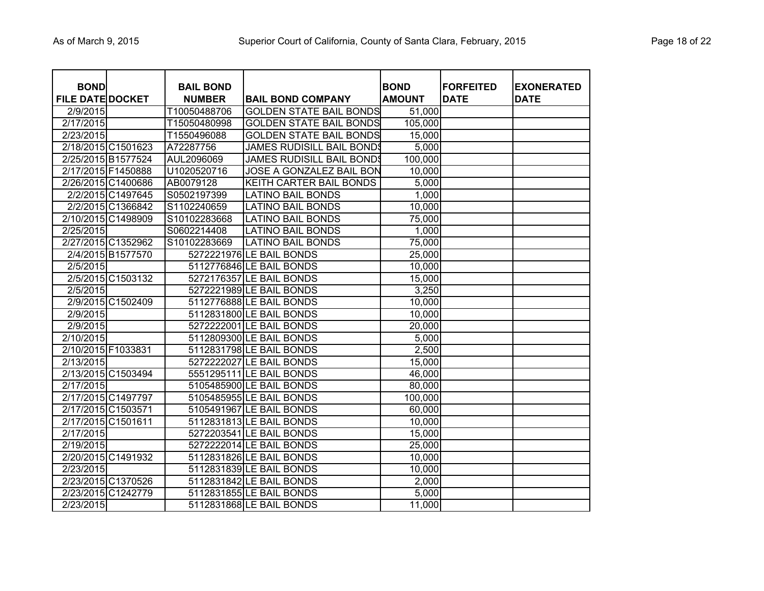| <b>BOND</b><br><b>FILE DATE DOCKET</b> |                    | <b>BAIL BOND</b><br><b>NUMBER</b> | <b>BAIL BOND COMPANY</b>         | <b>BOND</b><br><b>AMOUNT</b> | <b>FORFEITED</b><br><b>DATE</b> | <b>EXONERATED</b><br><b>DATE</b> |
|----------------------------------------|--------------------|-----------------------------------|----------------------------------|------------------------------|---------------------------------|----------------------------------|
| 2/9/2015                               |                    | T10050488706                      | <b>GOLDEN STATE BAIL BONDS</b>   | 51,000                       |                                 |                                  |
| 2/17/2015                              |                    | T15050480998                      | <b>GOLDEN STATE BAIL BONDS</b>   | 105,000                      |                                 |                                  |
| 2/23/2015                              |                    | T1550496088                       | <b>GOLDEN STATE BAIL BONDS</b>   | 15,000                       |                                 |                                  |
|                                        | 2/18/2015 C1501623 | A72287756                         | <b>JAMES RUDISILL BAIL BONDS</b> | 5,000                        |                                 |                                  |
| 2/25/2015 B1577524                     |                    | AUL2096069                        | <b>JAMES RUDISILL BAIL BONDS</b> | 100,000                      |                                 |                                  |
| 2/17/2015 F1450888                     |                    | U1020520716                       | JOSE A GONZALEZ BAIL BON         | 10,000                       |                                 |                                  |
|                                        | 2/26/2015 C1400686 | AB0079128                         | KEITH CARTER BAIL BONDS          | 5,000                        |                                 |                                  |
|                                        | 2/2/2015 C1497645  | S0502197399                       | LATINO BAIL BONDS                | 1,000                        |                                 |                                  |
|                                        | 2/2/2015 C1366842  | S1102240659                       | <b>LATINO BAIL BONDS</b>         | 10,000                       |                                 |                                  |
| 2/10/2015 C1498909                     |                    | S10102283668                      | <b>LATINO BAIL BONDS</b>         | 75,000                       |                                 |                                  |
| 2/25/2015                              |                    | S0602214408                       | <b>LATINO BAIL BONDS</b>         | 1,000                        |                                 |                                  |
|                                        | 2/27/2015 C1352962 | S10102283669                      | <b>LATINO BAIL BONDS</b>         | 75,000                       |                                 |                                  |
|                                        | 2/4/2015 B1577570  |                                   | 5272221976 LE BAIL BONDS         | 25,000                       |                                 |                                  |
| 2/5/2015                               |                    |                                   | 5112776846 LE BAIL BONDS         | 10,000                       |                                 |                                  |
|                                        | 2/5/2015 C1503132  |                                   | 5272176357 LE BAIL BONDS         | 15,000                       |                                 |                                  |
| 2/5/2015                               |                    |                                   | 5272221989 LE BAIL BONDS         | 3,250                        |                                 |                                  |
|                                        | 2/9/2015 C1502409  |                                   | 5112776888 LE BAIL BONDS         | 10,000                       |                                 |                                  |
| 2/9/2015                               |                    |                                   | 5112831800 LE BAIL BONDS         | 10,000                       |                                 |                                  |
| 2/9/2015                               |                    |                                   | 5272222001 LE BAIL BONDS         | 20,000                       |                                 |                                  |
| 2/10/2015                              |                    |                                   | 5112809300 LE BAIL BONDS         | 5,000                        |                                 |                                  |
| 2/10/2015 F1033831                     |                    |                                   | 5112831798 LE BAIL BONDS         | 2,500                        |                                 |                                  |
| 2/13/2015                              |                    |                                   | 5272222027 LE BAIL BONDS         | 15,000                       |                                 |                                  |
| 2/13/2015 C1503494                     |                    |                                   | 5551295111 LE BAIL BONDS         | 46,000                       |                                 |                                  |
| 2/17/2015                              |                    |                                   | 5105485900 LE BAIL BONDS         | 80,000                       |                                 |                                  |
| 2/17/2015 C1497797                     |                    |                                   | 5105485955 LE BAIL BONDS         | 100,000                      |                                 |                                  |
| 2/17/2015 C1503571                     |                    |                                   | 5105491967 LE BAIL BONDS         | 60,000                       |                                 |                                  |
| 2/17/2015 C1501611                     |                    |                                   | 5112831813 LE BAIL BONDS         | 10,000                       |                                 |                                  |
| 2/17/2015                              |                    |                                   | 5272203541 LE BAIL BONDS         | 15,000                       |                                 |                                  |
| 2/19/2015                              |                    |                                   | 5272222014 LE BAIL BONDS         | 25,000                       |                                 |                                  |
| 2/20/2015 C1491932                     |                    |                                   | 5112831826 LE BAIL BONDS         | 10,000                       |                                 |                                  |
| 2/23/2015                              |                    |                                   | 5112831839 LE BAIL BONDS         | 10,000                       |                                 |                                  |
|                                        | 2/23/2015 C1370526 |                                   | 5112831842 LE BAIL BONDS         | 2,000                        |                                 |                                  |
| 2/23/2015 C1242779                     |                    |                                   | 5112831855 LE BAIL BONDS         | 5,000                        |                                 |                                  |
| 2/23/2015                              |                    |                                   | 5112831868 LE BAIL BONDS         | 11,000                       |                                 |                                  |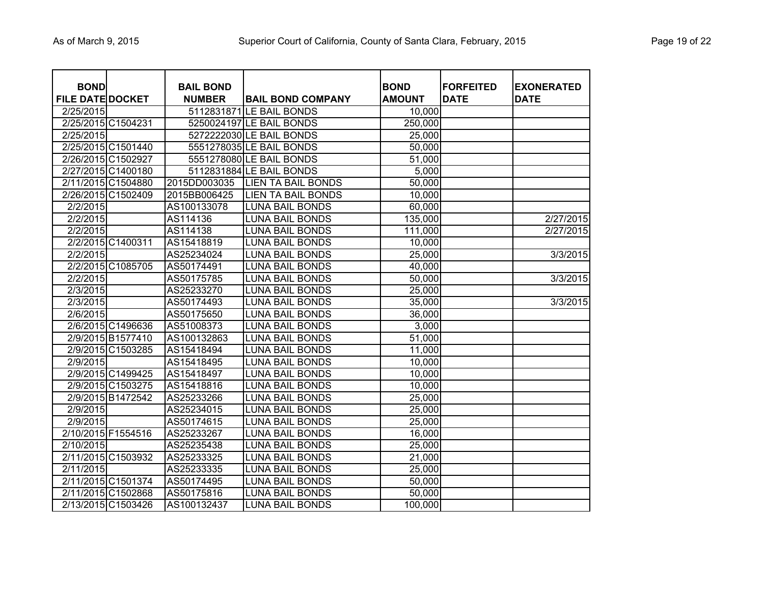|  | Page 19 of 22 |  |  |  |
|--|---------------|--|--|--|
|--|---------------|--|--|--|

| <b>BOND</b>             |                    | <b>BAIL BOND</b> |                           | <b>BOND</b>   | <b>FORFEITED</b> | <b>EXONERATED</b> |
|-------------------------|--------------------|------------------|---------------------------|---------------|------------------|-------------------|
| <b>FILE DATE DOCKET</b> |                    | <b>NUMBER</b>    | <b>BAIL BOND COMPANY</b>  | <b>AMOUNT</b> | <b>DATE</b>      | <b>DATE</b>       |
| 2/25/2015               |                    |                  | 5112831871 LE BAIL BONDS  | 10,000        |                  |                   |
|                         | 2/25/2015 C1504231 |                  | 5250024197 LE BAIL BONDS  | 250,000       |                  |                   |
| 2/25/2015               |                    |                  | 5272222030 LE BAIL BONDS  | 25,000        |                  |                   |
|                         | 2/25/2015 C1501440 |                  | 5551278035 LE BAIL BONDS  | 50,000        |                  |                   |
|                         | 2/26/2015 C1502927 |                  | 5551278080 LE BAIL BONDS  | 51,000        |                  |                   |
|                         | 2/27/2015 C1400180 |                  | 5112831884 LE BAIL BONDS  | 5,000         |                  |                   |
|                         | 2/11/2015 C1504880 | 2015DD003035     | <b>LIEN TA BAIL BONDS</b> | 50,000        |                  |                   |
|                         | 2/26/2015 C1502409 | 2015BB006425     | <b>LIEN TA BAIL BONDS</b> | 10,000        |                  |                   |
| 2/2/2015                |                    | AS100133078      | <b>LUNA BAIL BONDS</b>    | 60,000        |                  |                   |
| 2/2/2015                |                    | AS114136         | <b>LUNA BAIL BONDS</b>    | 135,000       |                  | 2/27/2015         |
| 2/2/2015                |                    | AS114138         | <b>LUNA BAIL BONDS</b>    | 111,000       |                  | 2/27/2015         |
|                         | 2/2/2015 C1400311  | AS15418819       | <b>LUNA BAIL BONDS</b>    | 10,000        |                  |                   |
| 2/2/2015                |                    | AS25234024       | <b>LUNA BAIL BONDS</b>    | 25,000        |                  | 3/3/2015          |
|                         | 2/2/2015 C1085705  | AS50174491       | <b>LUNA BAIL BONDS</b>    | 40,000        |                  |                   |
| 2/2/2015                |                    | AS50175785       | <b>LUNA BAIL BONDS</b>    | 50,000        |                  | 3/3/2015          |
| 2/3/2015                |                    | AS25233270       | <b>LUNA BAIL BONDS</b>    | 25,000        |                  |                   |
| 2/3/2015                |                    | AS50174493       | <b>LUNA BAIL BONDS</b>    | 35,000        |                  | 3/3/2015          |
| 2/6/2015                |                    | AS50175650       | <b>LUNA BAIL BONDS</b>    | 36,000        |                  |                   |
|                         | 2/6/2015 C1496636  | AS51008373       | <b>LUNA BAIL BONDS</b>    | 3,000         |                  |                   |
|                         | 2/9/2015 B1577410  | AS100132863      | <b>LUNA BAIL BONDS</b>    | 51,000        |                  |                   |
|                         | 2/9/2015 C1503285  | AS15418494       | <b>LUNA BAIL BONDS</b>    | 11,000        |                  |                   |
| 2/9/2015                |                    | AS15418495       | <b>LUNA BAIL BONDS</b>    | 10,000        |                  |                   |
|                         | 2/9/2015 C1499425  | AS15418497       | <b>LUNA BAIL BONDS</b>    | 10,000        |                  |                   |
|                         | 2/9/2015 C1503275  | AS15418816       | <b>LUNA BAIL BONDS</b>    | 10,000        |                  |                   |
|                         | 2/9/2015 B1472542  | AS25233266       | <b>LUNA BAIL BONDS</b>    | 25,000        |                  |                   |
| 2/9/2015                |                    | AS25234015       | <b>LUNA BAIL BONDS</b>    | 25,000        |                  |                   |
| 2/9/2015                |                    | AS50174615       | <b>LUNA BAIL BONDS</b>    | 25,000        |                  |                   |
|                         | 2/10/2015 F1554516 | AS25233267       | <b>LUNA BAIL BONDS</b>    | 16,000        |                  |                   |
| 2/10/2015               |                    | AS25235438       | <b>LUNA BAIL BONDS</b>    | 25,000        |                  |                   |
|                         | 2/11/2015 C1503932 | AS25233325       | <b>LUNA BAIL BONDS</b>    | 21,000        |                  |                   |
| 2/11/2015               |                    | AS25233335       | <b>LUNA BAIL BONDS</b>    | 25,000        |                  |                   |
|                         | 2/11/2015 C1501374 | AS50174495       | <b>LUNA BAIL BONDS</b>    | 50,000        |                  |                   |
|                         | 2/11/2015 C1502868 | AS50175816       | <b>LUNA BAIL BONDS</b>    | 50,000        |                  |                   |
|                         | 2/13/2015 C1503426 | AS100132437      | <b>LUNA BAIL BONDS</b>    | 100,000       |                  |                   |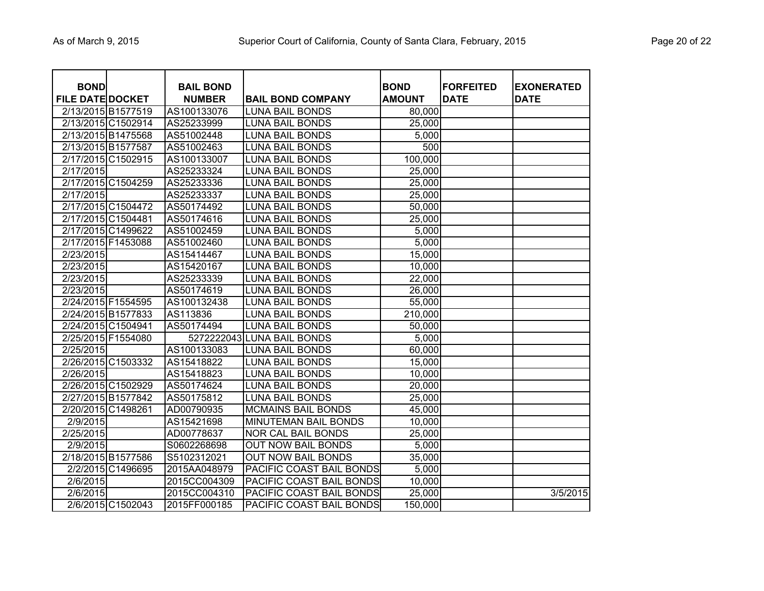|  | Page 20 of 22 |  |  |  |
|--|---------------|--|--|--|
|--|---------------|--|--|--|

| <b>BOND</b><br><b>FILE DATE DOCKET</b> |                    | <b>BAIL BOND</b><br><b>NUMBER</b> | <b>BAIL BOND COMPANY</b>   | <b>BOND</b><br><b>AMOUNT</b> | <b>FORFEITED</b><br><b>DATE</b> | <b>EXONERATED</b><br><b>DATE</b> |
|----------------------------------------|--------------------|-----------------------------------|----------------------------|------------------------------|---------------------------------|----------------------------------|
| 2/13/2015 B1577519                     |                    | AS100133076                       | <b>LUNA BAIL BONDS</b>     | 80,000                       |                                 |                                  |
|                                        | 2/13/2015 C1502914 | AS25233999                        | <b>LUNA BAIL BONDS</b>     | 25,000                       |                                 |                                  |
| 2/13/2015 B1475568                     |                    | AS51002448                        | <b>LUNA BAIL BONDS</b>     | 5,000                        |                                 |                                  |
| 2/13/2015 B1577587                     |                    | AS51002463                        | <b>LUNA BAIL BONDS</b>     | 500                          |                                 |                                  |
|                                        | 2/17/2015 C1502915 | AS100133007                       | <b>LUNA BAIL BONDS</b>     | 100,000                      |                                 |                                  |
| 2/17/2015                              |                    | AS25233324                        | <b>LUNA BAIL BONDS</b>     | 25,000                       |                                 |                                  |
| 2/17/2015 C1504259                     |                    | AS25233336                        | <b>LUNA BAIL BONDS</b>     | 25,000                       |                                 |                                  |
| 2/17/2015                              |                    | AS25233337                        | <b>LUNA BAIL BONDS</b>     | 25,000                       |                                 |                                  |
| 2/17/2015 C1504472                     |                    | AS50174492                        | <b>LUNA BAIL BONDS</b>     | 50,000                       |                                 |                                  |
| 2/17/2015 C1504481                     |                    | AS50174616                        | <b>LUNA BAIL BONDS</b>     | 25,000                       |                                 |                                  |
| 2/17/2015 C1499622                     |                    | AS51002459                        | <b>LUNA BAIL BONDS</b>     | 5,000                        |                                 |                                  |
| 2/17/2015 F1453088                     |                    | AS51002460                        | <b>LUNA BAIL BONDS</b>     | 5,000                        |                                 |                                  |
| 2/23/2015                              |                    | AS15414467                        | <b>LUNA BAIL BONDS</b>     | 15,000                       |                                 |                                  |
| 2/23/2015                              |                    | AS15420167                        | <b>LUNA BAIL BONDS</b>     | 10,000                       |                                 |                                  |
| 2/23/2015                              |                    | AS25233339                        | <b>LUNA BAIL BONDS</b>     | 22,000                       |                                 |                                  |
| 2/23/2015                              |                    | AS50174619                        | <b>LUNA BAIL BONDS</b>     | 26,000                       |                                 |                                  |
| 2/24/2015 F1554595                     |                    | AS100132438                       | <b>LUNA BAIL BONDS</b>     | 55,000                       |                                 |                                  |
| 2/24/2015 B1577833                     |                    | AS113836                          | <b>LUNA BAIL BONDS</b>     | 210,000                      |                                 |                                  |
| 2/24/2015 C1504941                     |                    | AS50174494                        | <b>LUNA BAIL BONDS</b>     | 50,000                       |                                 |                                  |
| 2/25/2015 F1554080                     |                    |                                   | 5272222043 LUNA BAIL BONDS | 5,000                        |                                 |                                  |
| 2/25/2015                              |                    | AS100133083                       | <b>LUNA BAIL BONDS</b>     | 60,000                       |                                 |                                  |
| 2/26/2015 C1503332                     |                    | AS15418822                        | <b>LUNA BAIL BONDS</b>     | 15,000                       |                                 |                                  |
| 2/26/2015                              |                    | AS15418823                        | <b>LUNA BAIL BONDS</b>     | 10,000                       |                                 |                                  |
|                                        | 2/26/2015 C1502929 | AS50174624                        | <b>LUNA BAIL BONDS</b>     | 20,000                       |                                 |                                  |
| 2/27/2015 B1577842                     |                    | AS50175812                        | <b>LUNA BAIL BONDS</b>     | 25,000                       |                                 |                                  |
| 2/20/2015 C1498261                     |                    | AD00790935                        | <b>MCMAINS BAIL BONDS</b>  | 45,000                       |                                 |                                  |
| 2/9/2015                               |                    | AS15421698                        | MINUTEMAN BAIL BONDS       | 10,000                       |                                 |                                  |
| 2/25/2015                              |                    | AD00778637                        | NOR CAL BAIL BONDS         | 25,000                       |                                 |                                  |
| 2/9/2015                               |                    | S0602268698                       | <b>OUT NOW BAIL BONDS</b>  | 5,000                        |                                 |                                  |
| 2/18/2015 B1577586                     |                    | S5102312021                       | <b>OUT NOW BAIL BONDS</b>  | 35,000                       |                                 |                                  |
|                                        | 2/2/2015 C1496695  | 2015AA048979                      | PACIFIC COAST BAIL BONDS   | 5,000                        |                                 |                                  |
| 2/6/2015                               |                    | 2015CC004309                      | PACIFIC COAST BAIL BONDS   | 10,000                       |                                 |                                  |
| 2/6/2015                               |                    | 2015CC004310                      | PACIFIC COAST BAIL BONDS   | 25,000                       |                                 | 3/5/2015                         |
|                                        | 2/6/2015 C1502043  | 2015FF000185                      | PACIFIC COAST BAIL BONDS   | 150,000                      |                                 |                                  |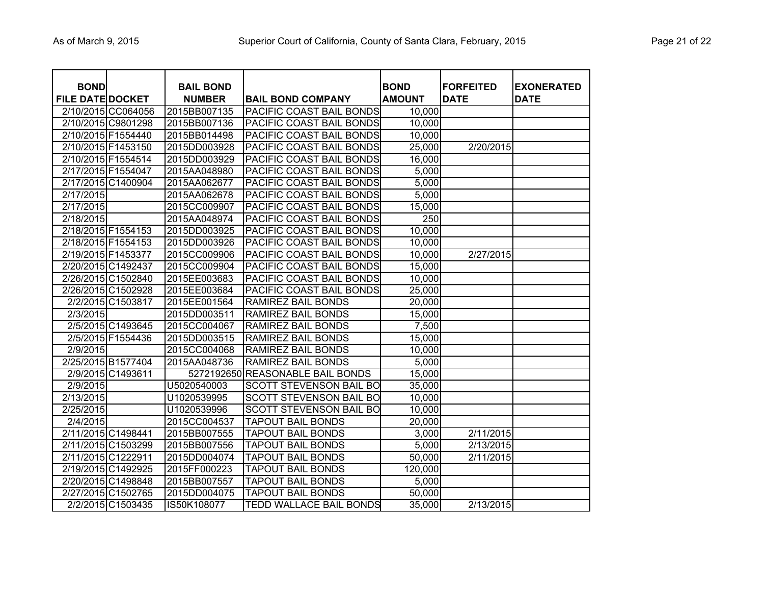| Page 21 of 22 |  |
|---------------|--|
|---------------|--|

| <b>BOND</b><br><b>FILE DATE DOCKET</b> |                    | <b>BAIL BOND</b><br><b>NUMBER</b> | <b>BAIL BOND COMPANY</b>       | <b>BOND</b><br><b>AMOUNT</b> | <b>FORFEITED</b><br><b>DATE</b> | <b>EXONERATED</b><br><b>DATE</b> |
|----------------------------------------|--------------------|-----------------------------------|--------------------------------|------------------------------|---------------------------------|----------------------------------|
|                                        | 2/10/2015 CC064056 | 2015BB007135                      | PACIFIC COAST BAIL BONDS       | 10,000                       |                                 |                                  |
|                                        | 2/10/2015 C9801298 | 2015BB007136                      | PACIFIC COAST BAIL BONDS       | 10,000                       |                                 |                                  |
|                                        | 2/10/2015 F1554440 | 2015BB014498                      | PACIFIC COAST BAIL BONDS       | 10,000                       |                                 |                                  |
|                                        | 2/10/2015 F1453150 | 2015DD003928                      | PACIFIC COAST BAIL BONDS       | 25,000                       | 2/20/2015                       |                                  |
|                                        | 2/10/2015 F1554514 | 2015DD003929                      | PACIFIC COAST BAIL BONDS       | 16,000                       |                                 |                                  |
| 2/17/2015 F1554047                     |                    | 2015AA048980                      | PACIFIC COAST BAIL BONDS       | 5,000                        |                                 |                                  |
|                                        | 2/17/2015 C1400904 | 2015AA062677                      | PACIFIC COAST BAIL BONDS       | 5,000                        |                                 |                                  |
| 2/17/2015                              |                    | 2015AA062678                      | PACIFIC COAST BAIL BONDS       | 5,000                        |                                 |                                  |
| 2/17/2015                              |                    | 2015CC009907                      | PACIFIC COAST BAIL BONDS       | 15,000                       |                                 |                                  |
| 2/18/2015                              |                    | 2015AA048974                      | PACIFIC COAST BAIL BONDS       | 250                          |                                 |                                  |
|                                        | 2/18/2015 F1554153 | 2015DD003925                      | PACIFIC COAST BAIL BONDS       | 10,000                       |                                 |                                  |
|                                        | 2/18/2015 F1554153 | 2015DD003926                      | PACIFIC COAST BAIL BONDS       | 10,000                       |                                 |                                  |
| 2/19/2015 F1453377                     |                    | 2015CC009906                      | PACIFIC COAST BAIL BONDS       | 10,000                       | 2/27/2015                       |                                  |
|                                        | 2/20/2015 C1492437 | 2015CC009904                      | PACIFIC COAST BAIL BONDS       | 15,000                       |                                 |                                  |
|                                        | 2/26/2015 C1502840 | 2015EE003683                      | PACIFIC COAST BAIL BONDS       | 10,000                       |                                 |                                  |
|                                        | 2/26/2015 C1502928 | 2015EE003684                      | PACIFIC COAST BAIL BONDS       | 25,000                       |                                 |                                  |
|                                        | 2/2/2015 C1503817  | 2015EE001564                      | RAMIREZ BAIL BONDS             | 20,000                       |                                 |                                  |
| 2/3/2015                               |                    | 2015DD003511                      | <b>RAMIREZ BAIL BONDS</b>      | 15,000                       |                                 |                                  |
|                                        | 2/5/2015 C1493645  | 2015CC004067                      | RAMIREZ BAIL BONDS             | 7,500                        |                                 |                                  |
|                                        | 2/5/2015 F1554436  | 2015DD003515                      | <b>RAMIREZ BAIL BONDS</b>      | 15,000                       |                                 |                                  |
| 2/9/2015                               |                    | 2015CC004068                      | <b>RAMIREZ BAIL BONDS</b>      | 10,000                       |                                 |                                  |
|                                        | 2/25/2015 B1577404 | 2015AA048736                      | <b>RAMIREZ BAIL BONDS</b>      | 5,000                        |                                 |                                  |
|                                        | 2/9/2015 C1493611  | 5272192650                        | <b>REASONABLE BAIL BONDS</b>   | 15,000                       |                                 |                                  |
| 2/9/2015                               |                    | U5020540003                       | <b>SCOTT STEVENSON BAIL BO</b> | 35,000                       |                                 |                                  |
| 2/13/2015                              |                    | U1020539995                       | <b>SCOTT STEVENSON BAIL BO</b> | 10,000                       |                                 |                                  |
| 2/25/2015                              |                    | U1020539996                       | SCOTT STEVENSON BAIL BO        | 10,000                       |                                 |                                  |
| 2/4/2015                               |                    | 2015CC004537                      | <b>TAPOUT BAIL BONDS</b>       | 20,000                       |                                 |                                  |
|                                        | 2/11/2015 C1498441 | 2015BB007555                      | <b>TAPOUT BAIL BONDS</b>       | 3,000                        | 2/11/2015                       |                                  |
|                                        | 2/11/2015 C1503299 | 2015BB007556                      | <b>TAPOUT BAIL BONDS</b>       | 5,000                        | 2/13/2015                       |                                  |
|                                        | 2/11/2015 C1222911 | 2015DD004074                      | <b>TAPOUT BAIL BONDS</b>       | 50,000                       | 2/11/2015                       |                                  |
|                                        | 2/19/2015 C1492925 | 2015FF000223                      | <b>TAPOUT BAIL BONDS</b>       | 120,000                      |                                 |                                  |
|                                        | 2/20/2015 C1498848 | 2015BB007557                      | <b>TAPOUT BAIL BONDS</b>       | 5,000                        |                                 |                                  |
|                                        | 2/27/2015 C1502765 | 2015DD004075                      | <b>TAPOUT BAIL BONDS</b>       | 50,000                       |                                 |                                  |
|                                        | 2/2/2015 C1503435  | IS50K108077                       | TEDD WALLACE BAIL BONDS        | 35,000                       | 2/13/2015                       |                                  |